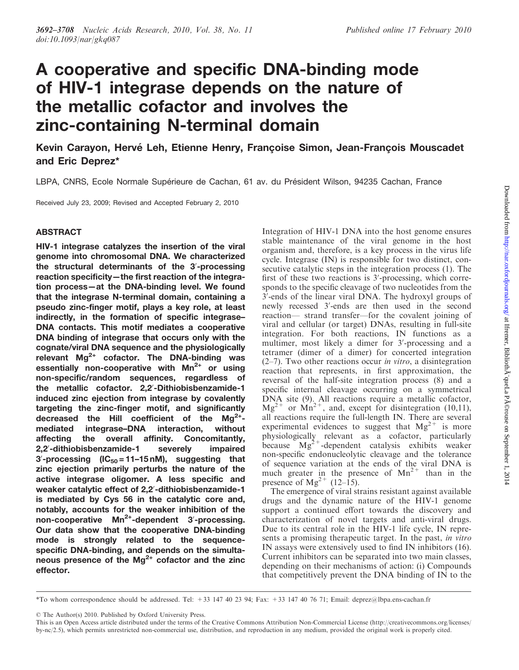# A cooperative and specific DNA-binding mode of HIV-1 integrase depends on the nature of the metallic cofactor and involves the zinc-containing N-terminal domain

Kevin Carayon, Hervé Leh, Etienne Henry, Françoise Simon, Jean-François Mouscadet and Eric Deprez\*

LBPA, CNRS, Ecole Normale Supérieure de Cachan, 61 av. du Président Wilson, 94235 Cachan, France

Received July 23, 2009; Revised and Accepted February 2, 2010

## ABSTRACT

HIV-1 integrase catalyzes the insertion of the viral genome into chromosomal DNA. We characterized the structural determinants of the 3'-processing reaction specificity—the first reaction of the integration process—at the DNA-binding level. We found that the integrase N-terminal domain, containing a pseudo zinc-finger motif, plays a key role, at least indirectly, in the formation of specific integrase– DNA contacts. This motif mediates a cooperative DNA binding of integrase that occurs only with the cognate/viral DNA sequence and the physiologically relevant  $Mg^{2+}$  cofactor. The DNA-binding was essentially non-cooperative with  $Mn^{2+}$  or using non-specific/random sequences, regardless of the metallic cofactor. 2,2'-Dithiobisbenzamide-1 induced zinc ejection from integrase by covalently targeting the zinc-finger motif, and significantly decreased the Hill coefficient of the  $Mg^{2+}$ mediated integrase–DNA interaction, without affecting the overall affinity. Concomitantly, 2,2'-dithiobisbenzamide-1 severely impaired 3'-processing (IC $_{50}$  = 11–15 nM), suggesting that zinc ejection primarily perturbs the nature of the active integrase oligomer. A less specific and weaker catalytic effect of 2,2'-dithiobisbenzamide-1 is mediated by Cys 56 in the catalytic core and, notably, accounts for the weaker inhibition of the non-cooperative Mn<sup>2+</sup>-dependent 3'-processing. Our data show that the cooperative DNA-binding mode is strongly related to the sequencespecific DNA-binding, and depends on the simultaneous presence of the  $Mg^{2+}$  cofactor and the zinc effector.

Integration of HIV-1 DNA into the host genome ensures stable maintenance of the viral genome in the host organism and, therefore, is a key process in the virus life cycle. Integrase (IN) is responsible for two distinct, consecutive catalytic steps in the integration process (1). The first of these two reactions is 3'-processing, which corresponds to the specific cleavage of two nucleotides from the  $3'$ -ends of the linear viral DNA. The hydroxyl groups of newly recessed 3'-ends are then used in the second reaction— strand transfer—for the covalent joining of viral and cellular (or target) DNAs, resulting in full-site integration. For both reactions, IN functions as a multimer, most likely a dimer for 3'-processing and a tetramer (dimer of a dimer) for concerted integration  $(2–7)$ . Two other reactions occur *in vitro*, a disintegration reaction that represents, in first approximation, the reversal of the half-site integration process (8) and a specific internal cleavage occurring on a symmetrical DNA site (9). All reactions require a metallic cofactor,  $Mg^{2+}$  or  $Mn^{2+}$ , and, except for disintegration (10,11), all reactions require the full-length IN. There are several experimental evidences to suggest that  $Mg^{2+}$  is more physiologically relevant as a cofactor, particularly because  $Mg^{2+}$ -dependent catalysis exhibits weaker non-specific endonucleolytic cleavage and the tolerance of sequence variation at the ends of the viral DNA is much greater in the presence of  $Mn^{2+}$  than in the presence of  $Mg^{2+}$  (12–15).

The emergence of viral strains resistant against available drugs and the dynamic nature of the HIV-1 genome support a continued effort towards the discovery and characterization of novel targets and anti-viral drugs. Due to its central role in the HIV-1 life cycle, IN represents a promising therapeutic target. In the past, in vitro IN assays were extensively used to find IN inhibitors (16). Current inhibitors can be separated into two main classes, depending on their mechanisms of action: (i) Compounds that competitively prevent the DNA binding of IN to the

© The Author(s) 2010. Published by Oxford University Press.

<sup>\*</sup>To whom correspondence should be addressed. Tel: +33 147 40 23 94; Fax: +33 147 40 76 71; Email: deprez@lbpa.ens-cachan.fr

This is an Open Access article distributed under the terms of the Creative Commons Attribution Non-Commercial License (http://creativecommons.org/licenses/ by-nc/2.5), which permits unrestricted non-commercial use, distribution, and reproduction in any medium, provided the original work is properly cited.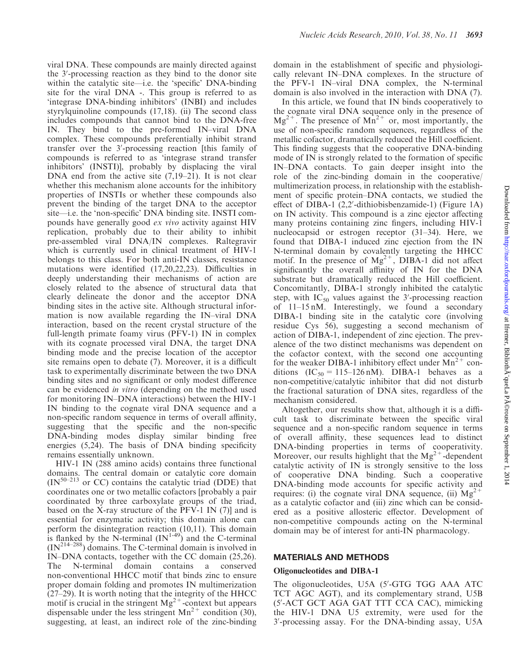viral DNA. These compounds are mainly directed against the 3'-processing reaction as they bind to the donor site within the catalytic site—i.e. the 'specific' DNA-binding site for the viral DNA -. This group is referred to as 'integrase DNA-binding inhibitors' (INBI) and includes styrylquinoline compounds (17,18). (ii) The second class includes compounds that cannot bind to the DNA-free IN. They bind to the pre-formed IN–viral DNA complex. These compounds preferentially inhibit strand transfer over the 3'-processing reaction [this family of compounds is referred to as 'integrase strand transfer inhibitors' (INSTI)], probably by displacing the viral DNA end from the active site (7,19–21). It is not clear whether this mechanism alone accounts for the inhibitory properties of INSTIs or whether these compounds also prevent the binding of the target DNA to the acceptor site—i.e. the 'non-specific' DNA binding site. INSTI compounds have generally good ex vivo activity against HIV replication, probably due to their ability to inhibit pre-assembled viral DNA/IN complexes. Raltegravir which is currently used in clinical treatment of HIV-1 belongs to this class. For both anti-IN classes, resistance mutations were identified (17,20,22,23). Difficulties in deeply understanding their mechanisms of action are closely related to the absence of structural data that clearly delineate the donor and the acceptor DNA binding sites in the active site. Although structural information is now available regarding the IN–viral DNA interaction, based on the recent crystal structure of the full-length primate foamy virus (PFV-1) IN in complex with its cognate processed viral DNA, the target DNA binding mode and the precise location of the acceptor site remains open to debate (7). Moreover, it is a difficult task to experimentally discriminate between the two DNA binding sites and no significant or only modest difference can be evidenced in vitro (depending on the method used for monitoring IN–DNA interactions) between the HIV-1 IN binding to the cognate viral DNA sequence and a non-specific random sequence in terms of overall affinity, suggesting that the specific and the non-specific DNA-binding modes display similar binding free energies (5,24). The basis of DNA binding specificity remains essentially unknown.

HIV-1 IN (288 amino acids) contains three functional domains. The central domain or catalytic core domain  $(IN<sup>50-213</sup>$  or CC) contains the catalytic triad (DDE) that coordinates one or two metallic cofactors [probably a pair coordinated by three carboxylate groups of the triad, based on the X-ray structure of the PFV-1 IN (7)] and is essential for enzymatic activity; this domain alone can perform the disintegration reaction (10,11). This domain is flanked by the N-terminal  $(IN^{1-49})$  and the C-terminal  $(IN^{214-288})$  domains. The C-terminal domain is involved in IN–DNA contacts, together with the CC domain (25,26). The N-terminal domain contains a conserved non-conventional HHCC motif that binds zinc to ensure proper domain folding and promotes IN multimerization (27–29). It is worth noting that the integrity of the HHCC motif is crucial in the stringent  $Mg^{2+}$ -context but appears dispensable under the less stringent  $Mn^{2+}$  condition (30), suggesting, at least, an indirect role of the zinc-binding

domain in the establishment of specific and physiologically relevant IN–DNA complexes. In the structure of the PFV-1 IN–viral DNA complex, the N-terminal domain is also involved in the interaction with DNA (7).

In this article, we found that IN binds cooperatively to the cognate viral DNA sequence only in the presence of  $Mg^{2+}$ . The presence of  $Mn^{2+}$  or, most importantly, the use of non-specific random sequences, regardless of the metallic cofactor, dramatically reduced the Hill coefficient. This finding suggests that the cooperative DNA-binding mode of IN is strongly related to the formation of specific IN–DNA contacts. To gain deeper insight into the role of the zinc-binding domain in the cooperative/ multimerization process, in relationship with the establishment of specific protein–DNA contacts, we studied the effect of DIBA-1 (2,2'-dithiobisbenzamide-1) (Figure 1A) on IN activity. This compound is a zinc ejector affecting many proteins containing zinc fingers, including HIV-1 nucleocapsid or estrogen receptor (31–34). Here, we found that DIBA-1 induced zinc ejection from the IN N-terminal domain by covalently targeting the HHCC motif. In the presence of  $Mg^{2+}$ , DIBA-1 did not affect significantly the overall affinity of IN for the DNA substrate but dramatically reduced the Hill coefficient. Concomitantly, DIBA-1 strongly inhibited the catalytic step, with  $IC_{50}$  values against the 3'-processing reaction of 11–15 nM. Interestingly, we found a secondary DIBA-1 binding site in the catalytic core (involving residue Cys 56), suggesting a second mechanism of action of DIBA-1, independent of zinc ejection. The prevalence of the two distinct mechanisms was dependent on the cofactor context, with the second one accounting for the weaker DIBA-1 inhibitory effect under  $Mn^{2+}$  conditions  $(IC_{50} = 115-126 \text{ nM})$ . DIBA-1 behaves as a non-competitive/catalytic inhibitor that did not disturb the fractional saturation of DNA sites, regardless of the mechanism considered.

Altogether, our results show that, although it is a difficult task to discriminate between the specific viral sequence and a non-specific random sequence in terms of overall affinity, these sequences lead to distinct DNA-binding properties in terms of cooperativity. Moreover, our results highlight that the  $Mg^{2+}$ -dependent catalytic activity of IN is strongly sensitive to the loss of cooperative DNA binding. Such a cooperative DNA-binding mode accounts for specific activity and requires: (i) the cognate viral DNA sequence, (ii)  $Mg^{2+}$ as a catalytic cofactor and (iii) zinc which can be considered as a positive allosteric effector. Development of non-competitive compounds acting on the N-terminal domain may be of interest for anti-IN pharmacology.

#### MATERIALS AND METHODS

#### Oligonucleotides and DIBA-1

The oligonucleotides, U5A (5'-GTG TGG AAA ATC TCT AGC AGT), and its complementary strand, U5B (5'-ACT GCT AGA GAT TTT CCA CAC), mimicking the HIV-1 DNA U5 extremity, were used for the 3'-processing assay. For the DNA-binding assay, U5A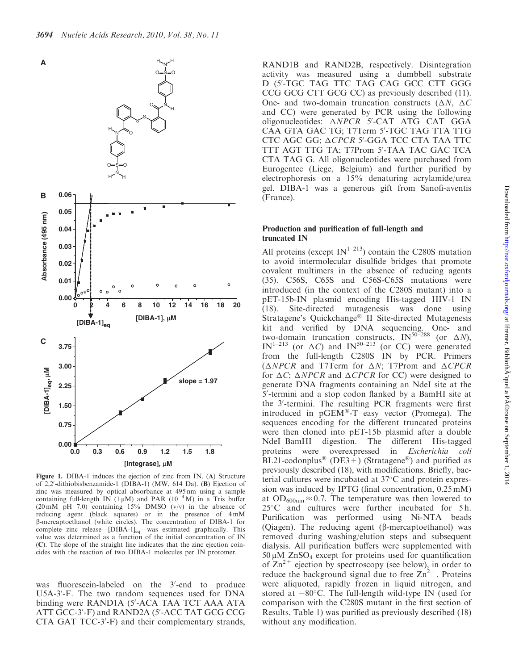

Figure 1. DIBA-1 induces the ejection of zinc from IN. (A) Structure of 2,2'-dithiobisbenzamide-1 (DIBA-1) (MW, 614 Da). (B) Ejection of zinc was measured by optical absorbance at 495 nm using a sample containing full-length IN  $(1 \mu M)$  and PAR  $(10^{-4} M)$  in a Tris buffer (20 mM pH 7.0) containing  $15\%$  DMSO (v/v) in the absence of reducing agent (black squares) or in the presence of  $4 \text{ mM}$ b-mercaptoethanol (white circles). The concentration of DIBA-1 for complete zinc release—[DIBA-1]<sub>eq</sub>—was estimated graphically. This value was determined as a function of the initial concentration of IN (C). The slope of the straight line indicates that the zinc ejection coincides with the reaction of two DIBA-1 molecules per IN protomer.

was fluorescein-labeled on the 3'-end to produce U5A-3'-F. The two random sequences used for DNA binding were RAND1A (5'-ACA TAA TCT AAA ATA ATT GCC-3'-F) and RAND2A (5'-ACC TAT GCG CCG CTA GAT TCC-3'-F) and their complementary strands,

RAND1B and RAND2B, respectively. Disintegration activity was measured using a dumbbell substrate D (5'-TGC TAG TTC TAG CAG GCC CTT GGG CCG GCG CTT GCG CC) as previously described (11). One- and two-domain truncation constructs ( $\Delta N$ ,  $\Delta C$ and CC) were generated by PCR using the following oligonucleotides:  $\triangle NPCR$  5'-CAT ATG CAT GGA CAA GTA GAC TG; T7Term 5'-TGC TAG TTA TTG CTC AGC GG; ACPCR 5'-GGA TCC CTA TAA TTC TTT AGT TTG TA; T7Prom 5'-TAA TAC GAC TCA CTA TAG G. All oligonucleotides were purchased from Eurogentec (Liege, Belgium) and further purified by electrophoresis on a 15% denaturing acrylamide/urea gel. DIBA-1 was a generous gift from Sanofi-aventis (France).

#### Production and purification of full-length and truncated IN

All proteins (except  $IN^{1-213}$ ) contain the C280S mutation to avoid intermolecular disulfide bridges that promote covalent multimers in the absence of reducing agents (35). C56S, C65S and C56S-C65S mutations were introduced (in the context of the C280S mutant) into a pET-15b-IN plasmid encoding His-tagged HIV-1 IN (18). Site-directed mutagenesis was done using Stratagene's Quickchange<sup>®</sup> II Site-directed Mutagenesis kit and verified by DNA sequencing. One- and two-domain truncation constructs,  $IN^{50-288}$  (or  $\Delta N$ ), IN<sup>1-213</sup> (or  $\Delta C$ ) and IN<sup>50-213</sup> (or CC) were generated from the full-length C280S IN by PCR. Primers  $(\triangle NPCR$  and T7Term for  $\triangle N$ ; T7Prom and  $\triangle CPCR$ for  $\Delta C$ ;  $\Delta NPCR$  and  $\Delta CPCR$  for CC) were designed to generate DNA fragments containing an NdeI site at the 5'-termini and a stop codon flanked by a BamHI site at the 3'-termini. The resulting PCR fragments were first introduced in  $pGEM^{\otimes}-T$  easy vector (Promega). The sequences encoding for the different truncated proteins were then cloned into pET-15b plasmid after a double NdeI–BamHI digestion. The different His-tagged proteins were overexpressed in Escherichia coli BL21-codonplus<sup>®</sup> (DE3+) (Stratagene<sup>®</sup>) and purified as previously described (18), with modifications. Briefly, bacterial cultures were incubated at 37°C and protein expression was induced by IPTG (final concentration, 0.25 mM) at  $OD_{600nm} \approx 0.7$ . The temperature was then lowered to 25°C and cultures were further incubated for 5h. Purification was performed using Ni-NTA beads (Qiagen). The reducing agent  $(\beta$ -mercaptoethanol) was removed during washing/elution steps and subsequent dialysis. All purification buffers were supplemented with  $50 \mu M$  ZnSO<sub>4</sub> except for proteins used for quantification of  $\text{Zn}^{2+}$  ejection by spectroscopy (see below), in order to reduce the background signal due to free  $\text{Zn}^{2+}$ . Proteins were aliquoted, rapidly frozen in liquid nitrogen, and stored at  $-80^{\circ}$ C. The full-length wild-type IN (used for comparison with the C280S mutant in the first section of Results, Table 1) was purified as previously described (18) without any modification.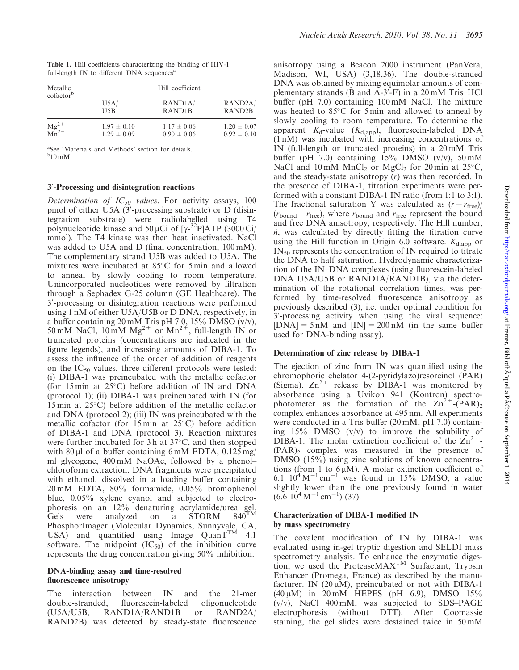| Metallic<br>cofactor <sup>b</sup> | Hill coefficient                   |                                             |                                             |  |  |  |  |
|-----------------------------------|------------------------------------|---------------------------------------------|---------------------------------------------|--|--|--|--|
|                                   | U5A/<br>U5B                        | RAND <sub>1</sub> A/<br>RAND <sub>1</sub> B | RAND <sub>2</sub> A/<br>RAND <sub>2</sub> B |  |  |  |  |
| $\frac{Mg^{2+}}{Mn^{2+}}$         | $1.97 \pm 0.10$<br>$1.29 \pm 0.09$ | $1.17 \pm 0.06$<br>$0.90 \pm 0.06$          | $1.20 \pm 0.07$<br>$0.92 \pm 0.10$          |  |  |  |  |

Table 1. Hill coefficients characterizing the binding of HIV-1 full-length IN to different DNA sequences<sup>a</sup>

a See 'Materials and Methods' section for details.  $b_{10}$  mM.

## 3'-Processing and disintegration reactions

Determination of  $IC_{50}$  values. For activity assays, 100 pmol of either U5A (3'-processing substrate) or D (disintegration substrate) were radiolabelled using T4 polynucleotide kinase and 50 µCi of  $[\gamma^{-32}P]ATP$  (3000 Ci/ mmol). The T4 kinase was then heat inactivated. NaCl was added to U5A and D (final concentration, 100 mM). The complementary strand U5B was added to U5A. The mixtures were incubated at 85°C for 5 min and allowed to anneal by slowly cooling to room temperature. Unincorporated nucleotides were removed by filtration through a Sephadex G-25 column (GE Healthcare). The 3'-processing or disintegration reactions were performed using 1 nM of either U5A/U5B or D DNA, respectively, in a buffer containing  $20 \text{ mM}$  Tris pH 7.0, 15% DMSO (v/v), 50 mM NaCl,  $10 \text{ mM} \text{ Mg}^{2+}$  or  $\text{ Mn}^{2+}$ , full-length IN or truncated proteins (concentrations are indicated in the figure legends), and increasing amounts of DIBA-1. To assess the influence of the order of addition of reagents on the  $IC_{50}$  values, three different protocols were tested: (i) DIBA-1 was preincubated with the metallic cofactor (for 15 min at  $25^{\circ}$ C) before addition of IN and DNA (protocol 1); (ii) DIBA-1 was preincubated with IN (for  $15$  min at  $25^{\circ}$ C) before addition of the metallic cofactor and DNA (protocol 2); (iii) IN was preincubated with the metallic cofactor (for 15 min at  $25^{\circ}$ C) before addition of DIBA-1 and DNA (protocol 3). Reaction mixtures were further incubated for 3h at  $37^{\circ}$ C, and then stopped with 80  $\mu$ l of a buffer containing 6 mM EDTA, 0.125 mg/ ml glycogene, 400 mM NaOAc, followed by a phenol– chloroform extraction. DNA fragments were precipitated with ethanol, dissolved in a loading buffer containing 20 mM EDTA, 80% formamide, 0.05% bromophenol blue, 0.05% xylene cyanol and subjected to electrophoresis on an 12% denaturing acrylamide/urea gel.<br>Gels were analyzed on a STORM  $840^{TM}$ Gels were analyzed on a STORM PhosphorImager (Molecular Dynamics, Sunnyvale, CA, USA) and quantified using Image  $QuanT<sup>TM</sup>$  4.1 software. The midpoint  $(IC_{50})$  of the inhibition curve represents the drug concentration giving 50% inhibition.

## DNA-binding assay and time-resolved fluorescence anisotropy

The interaction between IN and the 21-mer double-stranded, fluorescein-labeled oligonucleotide (U5A/U5B, RAND1A/RAND1B or RAND2A/ RAND2B) was detected by steady-state fluorescence

anisotropy using a Beacon 2000 instrument (PanVera, Madison, WI, USA) (3,18,36). The double-stranded DNA was obtained by mixing equimolar amounts of complementary strands ( $\overline{B}$  and  $\overline{A}$ -3'-F) in a 20 mM Tris-HCl buffer (pH 7.0) containing 100 mM NaCl. The mixture was heated to 85°C for 5 min and allowed to anneal by slowly cooling to room temperature. To determine the apparent  $K_d$ -value  $(K_{d,app})$ , fluorescein-labeled DNA (1 nM) was incubated with increasing concentrations of IN (full-length or truncated proteins) in a 20 mM Tris buffer (pH 7.0) containing  $15\%$  DMSO (v/v), 50 mM NaCl and  $10 \text{ mM } MnCl_2$  or MgCl<sub>2</sub> for  $20 \text{ min }$  at  $25^{\circ}$ C, and the steady-state anisotropy (r) was then recorded. In the presence of DIBA-1, titration experiments were performed with a constant DIBA-1:IN ratio (from 1:1 to 3:1). The fractional saturation Y was calculated as  $(r - r_{\text{free}})/$  $(r_{\text{bound}} - r_{\text{free}})$ , where  $r_{\text{bound}}$  and  $r_{\text{free}}$  represent the bound and free DNA anisotropy, respectively. The Hill number,  $n$ , was calculated by directly fitting the titration curve using the Hill function in Origin 6.0 software.  $K_{\text{d,app}}$  or  $IN_{50}$  represents the concentration of IN required to titrate the DNA to half saturation. Hydrodynamic characterization of the IN–DNA complexes (using fluorescein-labeled DNA U5A/U5B or RAND1A/RAND1B), via the determination of the rotational correlation times, was performed by time-resolved fluorescence anisotropy as previously described (3), i.e. under optimal condition for  $3'$ -processing activity when using the viral sequence:  $[DNA] = 5 \text{ nM}$  and  $[N] = 200 \text{ nM}$  (in the same buffer used for DNA-binding assay).

#### Determination of zinc release by DIBA-1

The ejection of zinc from IN was quantified using the chromophoric chelator 4-(2-pyridylazo)resorcinol (PAR) (Sigma).  $\text{Zn}^{2+}$  release by DIBA-1 was monitored by absorbance using a Uvikon 941 (Kontron) spectrophotometer as the formation of the  $Zn^{2+}-(PAR)$ complex enhances absorbance at 495 nm. All experiments were conducted in a Tris buffer (20 mM, pH 7.0) containing  $15\%$  DMSO (v/v) to improve the solubility of DIBA-1. The molar extinction coefficient of the  $\text{Zn}^{2+}$ - $(PAR)$  complex was measured in the presence of DMSO (15%) using zinc solutions of known concentrations (from 1 to  $6 \mu M$ ). A molar extinction coefficient of 6.1  $10^4 M^{-1}$  cm<sup>-1</sup> was found in 15% DMSO, a value slightly lower than the one previously found in water  $(6.6 \t10^4 \text{ M}^{-1} \text{ cm}^{-1})$  (37).

#### Characterization of DIBA-1 modified IN by mass spectrometry

The covalent modification of IN by DIBA-1 was evaluated using in-gel tryptic digestion and SELDI mass spectrometry analysis. To enhance the enzymatic digestion, we used the ProteaseMAXTM Surfactant, Trypsin Enhancer (Promega, France) as described by the manufacturer. IN  $(20 \mu M)$ , preincubated or not with DIBA-1 (40  $\mu$ M) in 20 mM HEPES (pH 6.9), DMSO 15%  $(v/v)$ , NaCl 400 mM, was subjected to SDS–PAGE electrophoresis (without DTT). After Coomassie staining, the gel slides were destained twice in 50 mM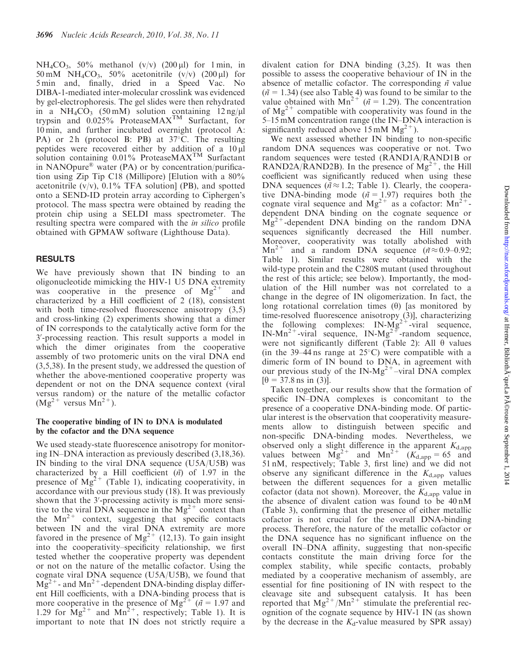NH<sub>4</sub>CO<sub>3</sub>, 50% methanol (v/v) (200  $\mu$ l) for 1 min, in 50 mM NH<sub>4</sub>CO<sub>3</sub>, 50% acetonitrile  $(v/v)$  (200 µl) for 5 min and, finally, dried in a Speed Vac. No DIBA-1-mediated inter-molecular crosslink was evidenced by gel-electrophoresis. The gel slides were then rehydrated in a  $NH_4CO_3$  (50 mM) solution containing 12 ng/ $\mu$ l trypsin and 0.025% ProteaseMAXTM Surfactant, for 10 min, and further incubated overnight (protocol A: PA) or 2h (protocol B: PB) at 37°C. The resulting peptides were recovered either by addition of a 10 ml solution containing 0.01% ProteaseMAX<sup>TM</sup> Surfactant in NANOpure<sup>®</sup> water (PA) or by concentration/purification using Zip Tip C18 (Millipore) [Elution with a 80% acetonitrile  $(v/v)$ , 0.1% TFA solution] (PB), and spotted onto a SEND-ID protein array according to Ciphergen's protocol. The mass spectra were obtained by reading the protein chip using a SELDI mass spectrometer. The resulting spectra were compared with the in silico profile obtained with GPMAW software (Lighthouse Data).

# RESULTS

We have previously shown that IN binding to an oligonucleotide mimicking the HIV-1 U5 DNA extremity was cooperative in the presence of  $Mg^{2+}$  and characterized by a Hill coefficient of 2 (18), consistent with both time-resolved fluorescence anisotropy  $(3,5)$ and cross-linking (2) experiments showing that a dimer of IN corresponds to the catalytically active form for the 3'-processing reaction. This result supports a model in which the dimer originates from the cooperative assembly of two protomeric units on the viral DNA end (3,5,38). In the present study, we addressed the question of whether the above-mentioned cooperative property was dependent or not on the DNA sequence context (viral versus random) or the nature of the metallic cofactor  $(Mg<sup>2+</sup>$  versus  $Mn<sup>2+</sup>$ ).

## The cooperative binding of IN to DNA is modulated by the cofactor and the DNA sequence

We used steady-state fluorescence anisotropy for monitoring IN–DNA interaction as previously described (3,18,36). IN binding to the viral DNA sequence (U5A/U5B) was characterized by a Hill coefficient  $(n\hat{i})$  of 1.97 in the presence of  $Mg^{2+}$  (Table 1), indicating cooperativity, in accordance with our previous study (18). It was previously shown that the 3'-processing activity is much more sensitive to the viral DNA sequence in the  $Mg^{2+}$  context than the  $Mn^{2+}$  context, suggesting that specific contacts between IN and the viral DNA extremity are more favored in the presence of  $Mg^{2+}$  (12,13). To gain insight into the cooperativity–specificity relationship, we first tested whether the cooperative property was dependent or not on the nature of the metallic cofactor. Using the cognate viral DNA sequence (U5A/U5B), we found that  $Mg^{2+}$ - and  $Mn^{2+}$ -dependent DNA-binding display different Hill coefficients, with a DNA-binding process that is more cooperative in the presence of  $Mg^{2+}$  ( $\tilde{n} = 1.97$  and 1.29 for  $Mg^{2+}$  and  $Mn^{2+}$ , respectively; Table 1). It is important to note that IN does not strictly require a

divalent cation for DNA binding (3,25). It was then possible to assess the cooperative behaviour of IN in the absence of metallic cofactor. The corresponding  $n$  value  $(n = 1.34)$  (see also Table 4) was found to be similar to the value obtained with  $Mn^{2+'}$  ( $\tilde{n} = 1.29$ ). The concentration of  $Mg^{2+}$  compatible with cooperativity was found in the 5–15 mM concentration range (the IN–DNA interaction is significantly reduced above  $15 \text{ mM } Mg^{2+}$ ).

We next assessed whether IN binding to non-specific random DNA sequences was cooperative or not. Two random sequences were tested (RAND1A/RAND1B or RAND2A/RAND2B). In the presence of  $Mg^{2+}$ , the Hill coefficient was significantly reduced when using these DNA sequences ( $n \approx 1.2$ ; Table 1). Clearly, the cooperative DNA-binding mode ( $\tilde{n} = 1.97$ ) requires both the cognate viral sequence and  $Mg^{2+}$  as a cofactor:  $Mn^{2+}$ dependent DNA binding on the cognate sequence or  $Mg^{2+}$ -dependent DNA binding on the random DNA sequences significantly decreased the Hill number. Moreover, cooperativity was totally abolished with  $Mn^{2+}$  and a random DNA sequence ( $\tilde{n} \approx 0.9-0.92$ ; Table 1). Similar results were obtained with the wild-type protein and the C280S mutant (used throughout the rest of this article; see below). Importantly, the modulation of the Hill number was not correlated to a change in the degree of IN oligomerization. In fact, the long rotational correlation times  $(\theta)$  [as monitored by time-resolved fluorescence anisotropy (3)], characterizing the following complexes:  $IN-Mg^{2+}$ -viral sequence,  $IN-Mn^{2+}$ -viral sequence,  $IN-Mg^{2+}$ -random sequence, were not significantly different (Table 2): All  $\theta$  values (in the 39–44 ns range at  $25^{\circ}$ C) were compatible with a dimeric form of IN bound to DNA, in agreement with our previous study of the IN-Mg<sup>2+</sup>–viral DNA complex  $[\theta = 37.8 \text{ ns in } (3)]$ .

Taken together, our results show that the formation of specific IN–DNA complexes is concomitant to the presence of a cooperative DNA-binding mode. Of particular interest is the observation that cooperativity measurements allow to distinguish between specific and non-specific DNA-binding modes. Nevertheless, we observed only a slight difference in the apparent  $K_{\text{d,app}}$ values between  $Mg^{2+}$  and  $Mn^{2+}$   $(K_{d,app}^+) = 65$  and 51 nM, respectively; Table 3, first line) and we did not observe any significant difference in the  $K_{\text{d,app}}$  values between the different sequences for a given metallic cofactor (data not shown). Moreover, the  $K_{d,app}$  value in the absence of divalent cation was found to be 40 nM (Table 3), confirming that the presence of either metallic cofactor is not crucial for the overall DNA-binding process. Therefore, the nature of the metallic cofactor or the DNA sequence has no significant influence on the overall IN–DNA affinity, suggesting that non-specific contacts constitute the main driving force for the complex stability, while specific contacts, probably mediated by a cooperative mechanism of assembly, are essential for fine positioning of IN with respect to the cleavage site and subsequent catalysis. It has been reported that  $Mg^{2+}/Mn^{2+}$  stimulate the preferential recognition of the cognate sequence by HIV-1 IN (as shown by the decrease in the  $K_d$ -value measured by SPR assay)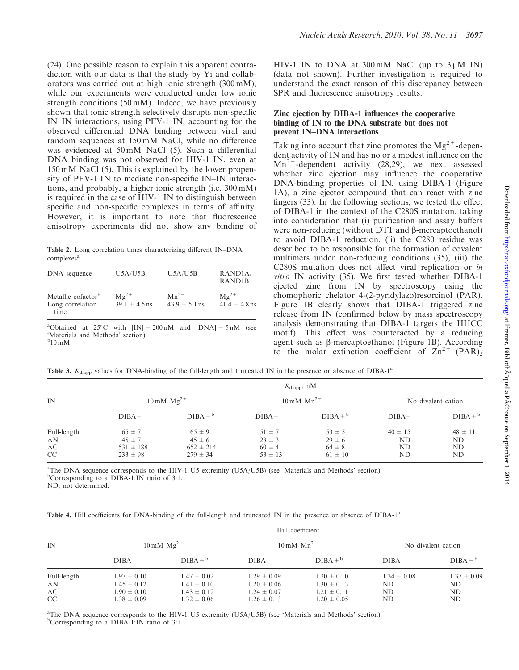(24). One possible reason to explain this apparent contradiction with our data is that the study by Yi and collaborators was carried out at high ionic strength (300 mM), while our experiments were conducted under low ionic strength conditions (50 mM). Indeed, we have previously shown that ionic strength selectively disrupts non-specific IN–IN interactions, using PFV-1 IN, accounting for the observed differential DNA binding between viral and random sequences at 150 mM NaCl, while no difference was evidenced at 50 mM NaCl (5). Such a differential DNA binding was not observed for HIV-1 IN, even at 150 mM NaCl (5). This is explained by the lower propensity of PFV-1 IN to mediate non-specific IN–IN interactions, and probably, a higher ionic strength (i.e. 300 mM) is required in the case of HIV-1 IN to distinguish between specific and non-specific complexes in terms of affinity. However, it is important to note that fluorescence

Table 2. Long correlation times characterizing different IN–DNA complexes<sup>a</sup>

anisotropy experiments did not show any binding of

| DNA sequence                                               | U5A/U5B                              | U5A/U5B                        | RAND <sub>1</sub> A/<br>RAND <sub>1</sub> B |
|------------------------------------------------------------|--------------------------------------|--------------------------------|---------------------------------------------|
| Metallic cofactor <sup>b</sup><br>Long correlation<br>time | $M\varrho^{2+}$<br>$39.1 \pm 4.5$ ns | $Mn^{2+}$<br>$43.9 \pm 5.1$ ns | $Mg^{2+}$<br>$41.4 \pm 4.8$ ns              |
|                                                            |                                      |                                |                                             |

<sup>a</sup>Obtained at 25°C with  $[IN] = 200 \text{ nM}$  and  $[DNA] = 5 \text{ nM}$  (see 'Materials and Methods' section).  $b_{10}$  mM.

HIV-1 IN to DNA at  $300 \text{ mM}$  NaCl (up to  $3 \text{ u}$ M IN) (data not shown). Further investigation is required to understand the exact reason of this discrepancy between SPR and fluorescence anisotropy results.

#### Zinc ejection by DIBA-1 influences the cooperative binding of IN to the DNA substrate but does not prevent IN–DNA interactions

Taking into account that zinc promotes the  $Mg^{2+}$ -dependent activity of IN and has no or a modest influence on the  $Mn^{2+}$ -dependent activity (28,29), we next assessed whether zinc ejection may influence the cooperative DNA-binding properties of IN, using DIBA-1 (Figure 1A), a zinc ejector compound that can react with zinc fingers (33). In the following sections, we tested the effect of DIBA-1 in the context of the C280S mutation, taking into consideration that (i) purification and assay buffers were non-reducing (without DTT and B-mercaptoethanol) to avoid DIBA-1 reduction, (ii) the C280 residue was described to be responsible for the formation of covalent multimers under non-reducing conditions (35), (iii) the C280S mutation does not affect viral replication or in vitro IN activity (35). We first tested whether DIBA-1 ejected zinc from IN by spectroscopy using the chomophoric chelator 4-(2-pyridylazo)resorcinol (PAR). Figure 1B clearly shows that DIBA-1 triggered zinc release from IN (confirmed below by mass spectroscopy analysis demonstrating that DIBA-1 targets the HHCC motif). This effect was counteracted by a reducing agent such as  $\beta$ -mercaptoethanol (Figure 1B). According to the molar extinction coefficient of  $Zn^{2+}$ –(PAR)<sub>2</sub>

Table 3.  $K_{\text{d,app}}$  values for DNA-binding of the full-length and truncated IN in the presence or absence of DIBA-1<sup>a</sup>

|                                                      |                                                           |                                                           | $K_{\text{d,app}}$ , nM                               |                                                       |                               |                               |  |
|------------------------------------------------------|-----------------------------------------------------------|-----------------------------------------------------------|-------------------------------------------------------|-------------------------------------------------------|-------------------------------|-------------------------------|--|
| IN                                                   |                                                           | $10 \,\mathrm{mM} \, \mathrm{Mg}^{2+}$                    |                                                       | $10 \text{ mM } Mn^{2+}$                              | No divalent cation            |                               |  |
|                                                      | $DIBA-$                                                   | $DIBA +b$                                                 | $DIBA-$                                               | $DIBA +b$                                             | $DIBA-$                       | $DIBA +b$                     |  |
| Full-length<br>$\Delta N$<br>$\Delta \text{C}$<br>CC | $65 \pm 7$<br>$45 \pm 7$<br>$531 \pm 188$<br>$233 \pm 98$ | $65 \pm 9$<br>$45 \pm 6$<br>$652 \pm 214$<br>$279 \pm 34$ | $51 \pm 7$<br>$28 \pm 3$<br>$60 \pm 4$<br>$53 \pm 13$ | $53 \pm 5$<br>$29 \pm 6$<br>$64 \pm 8$<br>$61 \pm 10$ | $40 \pm 15$<br>ND<br>ND<br>ND | $48 \pm 11$<br>ND<br>ND<br>ND |  |

a The DNA sequence corresponds to the HIV-1 U5 extremity (U5A/U5B) (see 'Materials and Methods' section). <sup>b</sup>Corresponding to a DIBA-1:IN ratio of 3:1.

ND, not determined.

|  |  |  |  | Table 4. Hill coefficients for DNA-binding of the full-length and truncated IN in the presence or absence of DIBA-1 <sup>a</sup> |  |  |  |  |  |  |  |  |  |  |  |  |  |  |
|--|--|--|--|----------------------------------------------------------------------------------------------------------------------------------|--|--|--|--|--|--|--|--|--|--|--|--|--|--|
|--|--|--|--|----------------------------------------------------------------------------------------------------------------------------------|--|--|--|--|--|--|--|--|--|--|--|--|--|--|

|             |                                 |                 |                 | Hill coefficient                |                    |                 |  |
|-------------|---------------------------------|-----------------|-----------------|---------------------------------|--------------------|-----------------|--|
| IN          | $10 \text{ mM} \text{ Mg}^{2+}$ |                 |                 | $10 \text{ mM } \text{Mn}^{2+}$ | No divalent cation |                 |  |
|             | $DIBA-$                         | $DIBA +b$       | $DIBA-$         | $DIBA +b$                       | $DIBA-$            | $DIBA +b$       |  |
| Full-length | $1.97 \pm 0.10$                 | $1.47 \pm 0.02$ | $1.29 \pm 0.09$ | $1.20 \pm 0.10$                 | $1.34 \pm 0.08$    | $1.37 \pm 0.09$ |  |
| $\Delta N$  | $1.45 \pm 0.12$                 | $1.41 \pm 0.10$ | $1.20 \pm 0.06$ | $1.30 \pm 0.13$                 | ND.                | ND              |  |
| $\Delta C$  | $1.90 \pm 0.10$                 | $1.43 \pm 0.12$ | $1.24 \pm 0.07$ | $1.21 \pm 0.11$                 | ND                 | ND              |  |
| CC          | $1.38 \pm 0.09$                 | $1.32 \pm 0.06$ | $1.26 \pm 0.13$ | $1.20 \pm 0.05$                 | ND                 | ND              |  |

a The DNA sequence corresponds to the HIV-1 U5 extremity (U5A/U5B) (see 'Materials and Methods' section). <sup>b</sup>Corresponding to a DIBA-1:IN ratio of 3:1.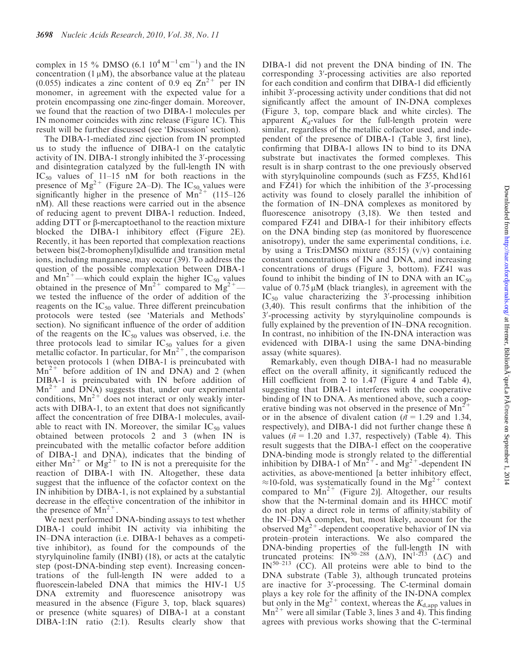complex in 15 % DMSO (6.1  $10^4 M^{-1}$  cm<sup>-1</sup>) and the IN concentration  $(1 \mu M)$ , the absorbance value at the plateau (0.055) indicates a zinc content of 0.9 eq  $\text{Zn}^{2+}$  per IN monomer, in agreement with the expected value for a protein encompassing one zinc-finger domain. Moreover, we found that the reaction of two DIBA-1 molecules per IN monomer coincides with zinc release (Figure 1C). This result will be further discussed (see 'Discussion' section).

The DIBA-1-mediated zinc ejection from IN prompted us to study the influence of DIBA-1 on the catalytic activity of IN. DIBA-1 strongly inhibited the 3'-processing and disintegration catalyzed by the full-length IN with  $IC_{50}$  values of 11–15 nM for both reactions in the presence of  $Mg^{2+}$  (Figure 2A–D). The IC<sub>50</sub> values were significantly higher in the presence of  $Mn^{2+}$  (115–126) nM). All these reactions were carried out in the absence of reducing agent to prevent DIBA-1 reduction. Indeed, adding DTT or b-mercaptoethanol to the reaction mixture blocked the DIBA-1 inhibitory effect (Figure 2E). Recently, it has been reported that complexation reactions between bis(2-bromophenyl)disulfide and transition metal ions, including manganese, may occur (39). To address the question of the possible complexation between DIBA-1 and  $Mn^{2+}$ —which could explain the higher IC<sub>50</sub> values obtained in the presence of  $Mn^{2+}$  compared to  $Mg^{2+}$  we tested the influence of the order of addition of the reagents on the  $IC_{50}$  value. Three different preincubation protocols were tested (see 'Materials and Methods' section). No significant influence of the order of addition of the reagents on the  $IC_{50}$  values was observed, i.e. the three protocols lead to similar  $IC_{50}$  values for a given metallic cofactor. In particular, for  $\text{Mn}^{2+}$ , the comparison between protocols 1 (when DIBA-1 is preincubated with  $Mn^{2+}$  before addition of IN and DNA) and 2 (when DIBA-1 is preincubated with IN before addition of  $Mn^{2+}$  and DNA) suggests that, under our experimental conditions,  $Mn^{2+}$  does not interact or only weakly interacts with DIBA-1, to an extent that does not significantly affect the concentration of free DIBA-1 molecules, available to react with IN. Moreover, the similar  $IC_{50}$  values obtained between protocols 2 and 3 (when IN is preincubated with the metallic cofactor before addition of DIBA-1 and DNA), indicates that the binding of either  $Mn^{2+}$  or  $Mg^{2+}$  to IN is not a prerequisite for the reaction of DIBA-1 with IN. Altogether, these data suggest that the influence of the cofactor context on the IN inhibition by DIBA-1, is not explained by a substantial decrease in the effective concentration of the inhibitor in the presence of  $Mn^{2+}$ .

We next performed DNA-binding assays to test whether DIBA-1 could inhibit IN activity via inhibiting the IN–DNA interaction (i.e. DIBA-1 behaves as a competitive inhibitor), as found for the compounds of the styrylquinoline family (INBI) (18), or acts at the catalytic step (post-DNA-binding step event). Increasing concentrations of the full-length IN were added to a fluorescein-labeled DNA that mimics the HIV-1 U5 DNA extremity and fluorescence anisotropy was measured in the absence (Figure 3, top, black squares) or presence (white squares) of DIBA-1 at a constant DIBA-1:IN ratio (2:1). Results clearly show that

DIBA-1 did not prevent the DNA binding of IN. The corresponding 3'-processing activities are also reported for each condition and confirm that DIBA-1 did efficiently inhibit 3'-processing activity under conditions that did not significantly affect the amount of IN-DNA complexes (Figure 3, top, compare black and white circles). The apparent  $K_d$ -values for the full-length protein were similar, regardless of the metallic cofactor used, and independent of the presence of DIBA-1 (Table 3, first line), confirming that DIBA-1 allows IN to bind to its DNA substrate but inactivates the formed complexes. This result is in sharp contrast to the one previously observed with styrylquinoline compounds (such as FZ55, Khd161 and  $FZ41$ ) for which the inhibition of the  $3'$ -processing activity was found to closely parallel the inhibition of the formation of IN–DNA complexes as monitored by fluorescence anisotropy (3,18). We then tested and compared FZ41 and DIBA-1 for their inhibitory effects on the DNA binding step (as monitored by fluorescence anisotropy), under the same experimental conditions, i.e. by using a Tris:DMSO mixture  $(85:15)$  (v/v) containing constant concentrations of IN and DNA, and increasing concentrations of drugs (Figure 3, bottom). FZ41 was found to inhibit the binding of IN to DNA with an  $IC_{50}$ value of  $0.75 \mu M$  (black triangles), in agreement with the  $IC_{50}$  value characterizing the  $3'$ -processing inhibition (3,40). This result confirms that the inhibition of the 3'-processing activity by styrylquinoline compounds is fully explained by the prevention of IN–DNA recognition. In contrast, no inhibition of the IN-DNA interaction was evidenced with DIBA-1 using the same DNA-binding assay (white squares).

Remarkably, even though DIBA-1 had no measurable effect on the overall affinity, it significantly reduced the Hill coefficient from 2 to 1.47 (Figure 4 and Table 4), suggesting that DIBA-1 interferes with the cooperative binding of IN to DNA. As mentioned above, such a cooperative binding was not observed in the presence of  $Mn^2$ or in the absence of divalent cation ( $\tilde{n} = 1.29$  and 1.34, respectively), and DIBA-1 did not further change these  $\tilde{n}$ values ( $\tilde{n}$  = 1.20 and 1.37, respectively) (Table 4). This result suggests that the DIBA-1 effect on the cooperative DNA-binding mode is strongly related to the differential inhibition by DIBA-1 of  $Mn^{2+}$ - and  $Mg^{2+}$ -dependent IN activities, as above-mentioned [a better inhibitory effect,  $\approx$ 10-fold, was systematically found in the Mg<sup>2+</sup> context compared to  $Mn^{2+}$  (Figure 2)]. Altogether, our results show that the N-terminal domain and its HHCC motif do not play a direct role in terms of affinity/stability of the IN–DNA complex, but, most likely, account for the observed  $Mg^{2+}$ -dependent cooperative behavior of IN via protein–protein interactions. We also compared the DNA-binding properties of the full-length IN with truncated proteins:  $IN^{50-288}$  ( $\Delta N$ ),  $IN^{1-213}$  ( $\Delta C$ ) and  $IN^{50-213}$  (CC). All proteins were able to bind to the DNA substrate (Table 3), although truncated proteins are inactive for 3'-processing. The C-terminal domain plays a key role for the affinity of the IN-DNA complex but only in the Mg<sup>2+</sup> context, whereas the  $K_{d,app}$  values in  $Mn^{2+}$  were all similar (Table 3, lines 3 and 4). This finding agrees with previous works showing that the C-terminal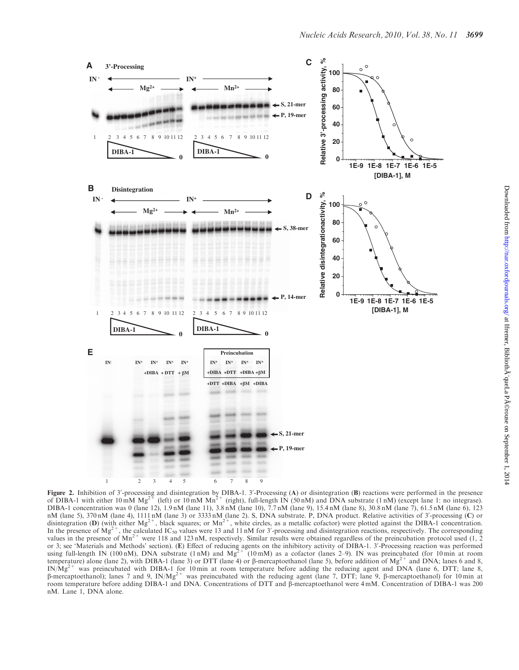

**Figure 2.** Inhibition of 3'-processing and disintegration by DIBA-1. 3'-Processing (A) or disintegration (B) reactions were performed in the presence of DIBA-1 with either 10 mM  $Mg^{2+}$  (left) or 10 mM  $Mn^{2+}$  (right), DIBA-1 concentration was 0 (lane 12), 1.9 nM (lane 11), 3.8 nM (lane 10), 7.7 nM (lane 9), 15.4 nM (lane 8), 30.8 nM (lane 7), 61.5 nM (lane 6), 123 nM (lane 5), 370 nM (lane 4), 1111 nM (lane 3) or 3333 nM (lane 2). S, DNA substrate. P, DNA product. Relative activities of 3'-processing (C) or disintegration (D) (with either  $Mg^{2+}$ , black squares; or  $Mn^{2+}$ , white circles, as a metallic cofactor) were plotted against the DIBA-1 concentration. In the presence of  $Mg^{2+}$ , the calculated IC<sub>50</sub> values were 13 and 11 nM for 3'-processing and disintegration reactions, respectively. The corresponding values in the presence of  $Mn^{2+}$  were 118 and 123 nM, respectively. Similar results were obtained regardless of the preincubation protocol used (1, 2) or 3; see 'Materials and Methods' section). (E) Effect of reducing agents on the inhibitory activity of DIBA-1. 3'-Processing reaction was performed<br>using full-length IN (100 nM), DNA substrate (1 nM) and Mg<sup>2+</sup> (10 mM) a temperature) alone (lane 2), with DIBA-1 (lane 3) or DTT (lane 4) or  $\beta$ -mercaptoethanol (lane 5), before addition of Mg<sup>2+</sup> and DNA; lanes 6 and 8,  $IN/Mg^{2+}$  was preincubated with DIBA-1 for 10 min at room temperature before adding the reducing agent and DNA (lane 6, DTT; lane 8,  $\beta$ -mercaptoethanol); lanes 7 and 9, IN/Mg<sup>2+</sup> was preincubated with the reducing agent (lane 7, DTT; lane 9,  $\beta$ -mercaptoethanol) for 10 min at room temperature before adding DIBA-1 and DNA. Concentrations of DTT and  $\beta$ -mercaptoethanol were 4 mM. Concentration of DIBA-1 was 200 nM. Lane 1, DNA alone.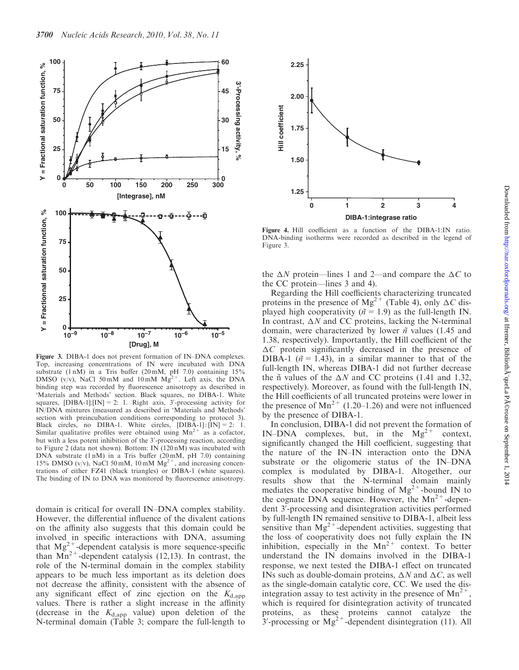

Figure 3. DIBA-1 does not prevent formation of IN–DNA complexes. Top, increasing concentrations of IN were incubated with DNA substrate  $(1 \text{ nM})$  in a Tris buffer  $(20 \text{ mM}, \text{ pH } 7.0)$  containing  $15\%$ DMSO (v/v), NaCl 50 mM and 10 mM  $Mg^{2+}$ . Left axis, the DNA binding step was recorded by fluorescence anisotropy as described in 'Materials and Methods' section. Black squares, no DIBA-1. White squares,  $[DIBA-1][IN] = 2$ : 1. Right axis, 3'-processing activity for IN/DNA mixtures (measured as described in 'Materials and Methods' section with preincubation conditions corresponding to protocol 3). Black circles, no DIBA-1. White circles,  $[DIBA-1]$ :  $[IN] = 2$ : 1. Similar qualitative profiles were obtained using  $Mn^{2+}$  as a cofactor, but with a less potent inhibition of the 3'-processing reaction, according to Figure 2 (data not shown). Bottom:  $\overline{IN}$  (120 nM) was incubated with DNA substrate (1 nM) in a Tris buffer (20 mM, pH 7.0) containing 15% DMSO (v/v), NaCl 50 mM, 10 mM  $Mg^{2+}$ , and increasing concentrations of either FZ41 (black triangles) or DIBA-1 (white squares). The binding of IN to DNA was monitored by fluorescence anisotropy.

domain is critical for overall IN–DNA complex stability. However, the differential influence of the divalent cations on the affinity also suggests that this domain could be involved in specific interactions with DNA, assuming that  $Mg^{2+}$ -dependent catalysis is more sequence-specific than  $Mn^{2+}$ -dependent catalysis (12,13). In contrast, the role of the N-terminal domain in the complex stability appears to be much less important as its deletion does not decrease the affinity, consistent with the absence of any significant effect of zinc ejection on the  $K_{\text{d,app}}$ values. There is rather a slight increase in the affinity (decrease in the  $K_{d,app}$  value) upon deletion of the N-terminal domain (Table 3; compare the full-length to



Figure 4. Hill coefficient as a function of the DIBA-1:IN ratio. DNA-binding isotherms were recorded as described in the legend of Figure 3.

the  $\Delta N$  protein—lines 1 and 2—and compare the  $\Delta C$  to the CC protein—lines 3 and 4).

Regarding the Hill coefficients characterizing truncated proteins in the presence of Mg<sup>2+</sup> (Table 4), only  $\Delta C$  displayed high cooperativity ( $\tilde{n} = 1.9$ ) as the full-length IN. In contrast,  $\Delta N$  and CC proteins, lacking the N-terminal domain, were characterized by lower  $n$ <sup>\*</sup> values (1.45 and 1.38, respectively). Importantly, the Hill coefficient of the  $\Delta C$  protein significantly decreased in the presence of DIBA-1 ( $\tilde{n}$  = 1.43), in a similar manner to that of the full-length IN, whereas DIBA-1 did not further decrease the  $\tilde{n}$  values of the  $\Delta N$  and CC proteins (1.41 and 1.32, respectively). Moreover, as found with the full-length IN, the Hill coefficients of all truncated proteins were lower in the presence of  $Mn^{2+}$  (1.20–1.26) and were not influenced by the presence of DIBA-1.

In conclusion, DIBA-1 did not prevent the formation of IN–DNA complexes, but, in the  $Mg^{2+}$  context, significantly changed the Hill coefficient, suggesting that the nature of the IN–IN interaction onto the DNA substrate or the oligomeric status of the IN–DNA complex is modulated by DIBA-1. Altogether, our results show that the N-terminal domain mainly mediates the cooperative binding of  $Mg^{2+}$ -bound IN to the cognate DNA sequence. However, the  $Mn^{2+}$ -dependent 3<sup>'</sup>-processing and disintegration activities performed by full-length IN remained sensitive to DIBA-1, albeit less sensitive than  $Mg^{2+}$ -dependent activities, suggesting that the loss of cooperativity does not fully explain the IN inhibition, especially in the  $Mn^{2+}$  context. To better understand the IN domains involved in the DIBA-1 response, we next tested the DIBA-1 effect on truncated INs such as double-domain proteins,  $\Delta N$  and  $\Delta C$ , as well as the single-domain catalytic core, CC. We used the disintegration assay to test activity in the presence of  $Mn^{2+}$ . which is required for disintegration activity of truncated proteins, as these proteins cannot catalyze the  $3'$ -processing or Mg<sup>2+</sup>-dependent disintegration (11). All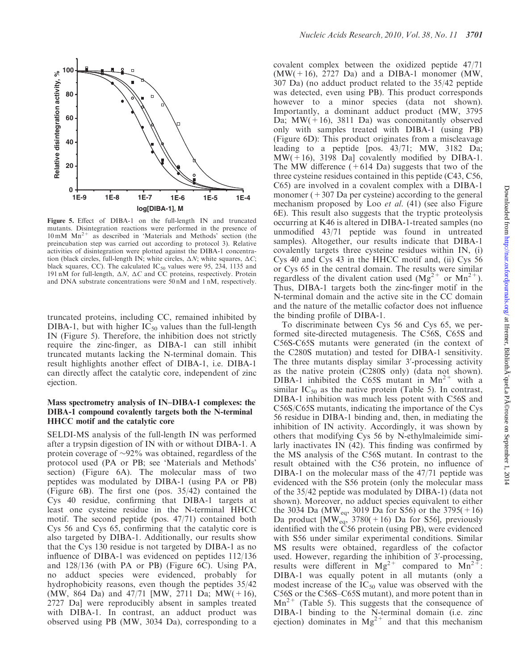

Figure 5. Effect of DIBA-1 on the full-length IN and truncated mutants. Disintegration reactions were performed in the presence of  $10 \text{ mM } \text{Mn}^{2+}$  as described in 'Materials and Methods' section (the preincubation step was carried out according to protocol 3). Relative activities of disintegration were plotted against the DIBA-1 concentration (black circles, full-length IN; white circles,  $\Delta N$ ; white squares,  $\Delta C$ ; black squares, CC). The calculated  $IC_{50}$  values were 95, 234, 1135 and 191 nM for full-length,  $\Delta N$ ,  $\Delta C$  and CC proteins, respectively. Protein and DNA substrate concentrations were 50 nM and 1 nM, respectively.

truncated proteins, including CC, remained inhibited by DIBA-1, but with higher  $IC_{50}$  values than the full-length IN (Figure 5). Therefore, the inhibition does not strictly require the zinc-finger, as DIBA-1 can still inhibit truncated mutants lacking the N-terminal domain. This result highlights another effect of DIBA-1, i.e. DIBA-1 can directly affect the catalytic core, independent of zinc ejection.

## Mass spectrometry analysis of IN–DIBA-1 complexes: the DIBA-1 compound covalently targets both the N-terminal HHCC motif and the catalytic core

SELDI-MS analysis of the full-length IN was performed after a trypsin digestion of IN with or without DIBA-1. A protein coverage of  $\sim 92\%$  was obtained, regardless of the protocol used (PA or PB; see 'Materials and Methods' section) (Figure 6A). The molecular mass of two peptides was modulated by DIBA-1 (using PA or PB)  $(Figure 6B)$ . The first one (pos. 35/42) contained the Cys 40 residue, confirming that DIBA-1 targets at least one cysteine residue in the N-terminal HHCC motif. The second peptide (pos. 47/71) contained both Cys 56 and Cys 65, confirming that the catalytic core is also targeted by DIBA-1. Additionally, our results show that the Cys 130 residue is not targeted by DIBA-1 as no influence of DIBA-1 was evidenced on peptides 112/136 and 128/136 (with PA or PB) (Figure 6C). Using PA, no adduct species were evidenced, probably for hydrophobicity reasons, even though the peptides 35/42 (MW, 864 Da) and 47/71 [MW, 2711 Da; MW(+16), 2727 Da] were reproducibly absent in samples treated with DIBA-1. In contrast, an adduct product was observed using PB (MW, 3034 Da), corresponding to a covalent complex between the oxidized peptide 47/71  $(MW(+16), 2727)$  Da) and a DIBA-1 monomer (MW, 307 Da) (no adduct product related to the 35/42 peptide was detected, even using PB). This product corresponds however to a minor species (data not shown). Importantly, a dominant adduct product (MW, 3795 Da;  $MW(+16)$ , 3811 Da) was concomitantly observed only with samples treated with DIBA-1 (using PB) (Figure 6D): This product originates from a miscleavage leading to a peptide [pos. 43/71; MW, 3182 Da;  $MW(+16)$ , 3198 Da] covalently modified by DIBA-1. The MW difference  $(+614 \text{ Da})$  suggests that two of the three cysteine residues contained in this peptide (C43, C56, C65) are involved in a covalent complex with a DIBA-1 monomer  $(+307$  Da per cysteine) according to the general mechanism proposed by Loo et al. (41) (see also Figure 6E). This result also suggests that the tryptic proteolysis occurring at K46 is altered in DIBA-1-treated samples (no unmodified 43/71 peptide was found in untreated samples). Altogether, our results indicate that DIBA-1 covalently targets three cysteine residues within IN, (i) Cys 40 and Cys 43 in the HHCC motif and, (ii) Cys 56 or Cys 65 in the central domain. The results were similar regardless of the divalent cation used  $(Mg^{2+}$  or  $Mn^{2+})$ . Thus, DIBA-1 targets both the zinc-finger motif in the N-terminal domain and the active site in the CC domain and the nature of the metallic cofactor does not influence the binding profile of DIBA-1.

To discriminate between Cys 56 and Cys 65, we performed site-directed mutagenesis. The C56S, C65S and C56S-C65S mutants were generated (in the context of the C280S mutation) and tested for DIBA-1 sensitivity. The three mutants display similar  $3'$ -processing activity as the native protein (C280S only) (data not shown). DIBA-1 inhibited the C65S mutant in  $Mn^{2+}$  with a similar  $IC_{50}$  as the native protein (Table 5). In contrast, DIBA-1 inhibition was much less potent with C56S and C56S/C65S mutants, indicating the importance of the Cys 56 residue in DIBA-1 binding and, then, in mediating the inhibition of IN activity. Accordingly, it was shown by others that modifying Cys 56 by N-ethylmaleimide similarly inactivates IN (42). This finding was confirmed by the MS analysis of the C56S mutant. In contrast to the result obtained with the C56 protein, no influence of DIBA-1 on the molecular mass of the 47/71 peptide was evidenced with the S56 protein (only the molecular mass of the 35/42 peptide was modulated by DIBA-1) (data not shown). Moreover, no adduct species equivalent to either the 3034 Da (MW<sub>eq</sub>, 3019 Da for S56) or the 3795(+16) Da product  $[MW_{eq}, 3780(+16)$  Da for S56], previously identified with the C56 protein (using PB), were evidenced with S56 under similar experimental conditions. Similar MS results were obtained, regardless of the cofactor used. However, regarding the inhibition of 3'-processing, results were different in  $Mg^{2+}$  compared to  $Mn^{2+}$ : DIBA-1 was equally potent in all mutants (only a modest increase of the  $IC_{50}$  value was observed with the C56S or the C56S–C65S mutant), and more potent than in  $Mn^{2+}$  (Table 5). This suggests that the consequence of DIBA-1 binding to the N-terminal domain (i.e. zinc ejection) dominates in  $Mg^{2+}$  and that this mechanism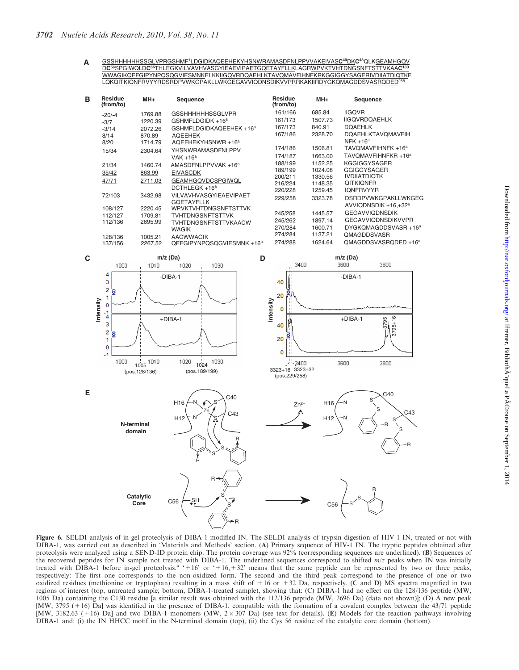GSSHHHHHHSSGLVPRGSHMF1LDGIDKAQEEHEKYHSNWRAMASDFNLPPVVAKEIVAS**C40**DK**C43**QLKGEAMHGQV D**C56**SPGIWQLD**C65**THLEGKVILVAVHVASGYIEAEVIPAETGQETAYFLLKLAGRWPVKTVHTDNGSNFTSTTVKAA**C130** WWAGIKQEFGIPYNPQSQGVIESMNKELKKIIGQVRDQAEHLKTAVQMAVFIHNFKRKGGIGGYSAGERIVDIIATDIQTKE LQKQITKIQNFRVYYRDSRDPVWKGPAKLLWKGEGAVVIQDNSDIKVVPRRKAKIIRDYGKQMAGDDSVASRQDED<sup>28</sup> **A**

| B | Residue<br>(from/to) | MH+     | Sequence                             | <b>Residue</b><br>(from/to) | MH+     | Sequence                         |
|---|----------------------|---------|--------------------------------------|-----------------------------|---------|----------------------------------|
|   | $-20/-4$             | 1769.88 | <b>GSSHHHHHHSSGLVPR</b>              | 161/166                     | 685.84  | <b>IIGQVR</b>                    |
|   | $-3/7$               | 1220.39 | GSHMFLDGIDK +16 <sup>a</sup>         | 161/173                     | 1507.73 | <b>IIGQVRDQAEHLK</b>             |
|   | $-3/14$              | 2072.26 | GSHMFLDGIDKAQEEHEK +16 <sup>a</sup>  | 167/173                     | 840.91  | <b>DOAEHLK</b>                   |
|   | 8/14                 | 870.89  | <b>AQEEHEK</b>                       | 167/186                     | 2328.70 | <b>DOAEHLKTAVOMAVFIH</b>         |
|   | 8/20                 | 1714.79 | AQEEHEKYHSNWR +16 <sup>a</sup>       |                             |         | $NFK + 16^a$                     |
|   | 15/34                | 2304.64 | <b>YHSNWRAMASDFNLPPV</b>             | 174/186                     | 1506.81 | TAVQMAVFIHNFK +16 <sup>a</sup>   |
|   |                      |         | VAK $+16^a$                          | 174/187                     | 1663.00 | TAVOMAVFIHNFKR +16 <sup>a</sup>  |
|   | 21/34                | 1460.74 | AMASDFNLPPVVAK+16 <sup>a</sup>       | 188/199                     | 1152.25 | <b>KGGIGGYSAGER</b>              |
|   | 35/42                | 863.99  | <b>EIVASCDK</b>                      | 189/199                     | 1024.08 | <b>GGIGGYSAGER</b>               |
|   | 47/71                | 2711.03 | <b>GEAMHGQVDCSPGIWQL</b>             | 200/211                     | 1330.56 | <b>IVDIIATDIQTK</b>              |
|   |                      |         | DCTHLEGK +16 <sup>a</sup>            | 216/224                     | 1148.35 | <b>QITKIQNFR</b>                 |
|   | 72/103               | 3432.98 | <b>VILVAVHVASGYIEAEVIPAET</b>        | 220/228                     | 1259.45 | <b>IQNFRVYYR</b>                 |
|   |                      |         | <b>GOETAYFLLK</b>                    | 229/258                     | 3323.78 | DSRDPVWKGPAKLLWKGEG              |
|   | 108/127              | 2220.45 | <b>WPVKTVHTDNGSNFTSTTVK</b>          |                             |         | AVVIQDNSDIK $+16,+32^a$          |
|   | 112/127              | 1709.81 | <b>TVHTDNGSNFTSTTVK</b>              | 245/258                     | 1445.57 | <b>GEGAVVIQDNSDIK</b>            |
|   | 112/136              | 2695.99 | TVHTDNGSNFTSTTVKAACW                 | 245/262                     | 1897.14 | <b>GEGAVVIQDNSDIKVVPR</b>        |
|   |                      |         | <b>WAGIK</b>                         | 270/284                     | 1600.71 | DYGKQMAGDDSVASR +16 <sup>a</sup> |
|   | 128/136              | 1005.21 | <b>AACWWAGIK</b>                     | 274/284                     | 1137.21 | <b>QMAGDDSVASR</b>               |
|   | 137/156              | 2267.52 | QEFGIPYNPQSQGVIESMNK+16 <sup>a</sup> | 274/288                     | 1624.64 | QMAGDDSVASRQDED +16 <sup>a</sup> |



Figure 6. SELDI analysis of in-gel proteolysis of DIBA-1 modified IN. The SELDI analysis of trypsin digestion of HIV-1 IN, treated or not with DIBA-1, was carried out as described in 'Materials and Methods' section. (A) Primary sequence of HIV-1 IN. The tryptic peptides obtained after proteolysis were analyzed using a SEND-ID protein chip. The protein coverage was 92% (corresponding sequences are underlined). (B) Sequences of the recovered peptides for IN sample not treated with DIBA-1. The underlined sequences correspond to shifted  $m/z$  peaks when IN was initially treated with DIBA-1 before in-gel proteolysis.<sup>a</sup> '+16' or '+16,+32' means that the same peptide can be represented by two or three peaks, respectively: The first one corresponds to the non-oxidized form. The second and the third peak correspond to the presence of one or two oxidized residues (methionine or tryptophan) resulting in a mass shift of  $+16$  or  $+32$  Da, respectively. (C and D) MS spectra magnified in two regions of interest (top, untreated sample; bottom, DIBA-1-treated sample), showing that: (C) DIBA-1 had no effect on the 128/136 peptide (MW, 1005 Da) containing the C130 residue [a similar result was obtained with the 112/136 peptide (MW, 2696 Da) (data not shown)]; (D) A new peak [MW, 3795 (+16) Da] was identified in the presence of DIBA-1, compatible with the formation of a covalent complex between the 43/71 peptide [MW, 3182.63 (+16) Da] and two DIBA-1 monomers (MW,  $2 \times 307$  Da) (see text for details). (E) Models for the reaction pathways involving DIBA-1 and: (i) the IN HHCC motif in the N-terminal domain (top), (ii) the Cys 56 residue of the catalytic core domain (bottom).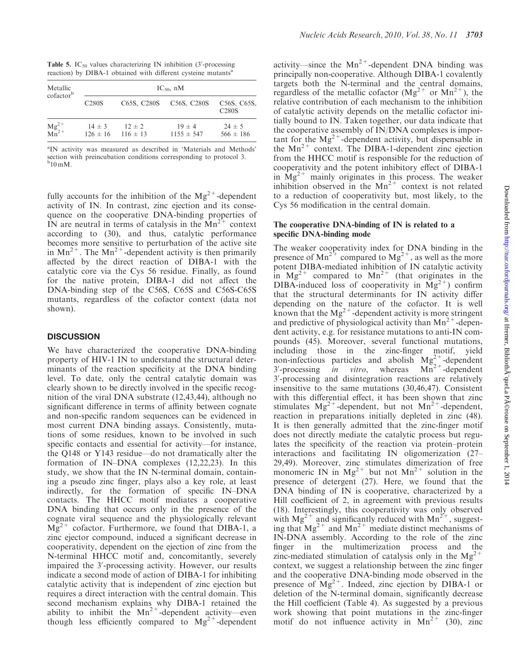Table 5.  $IC_{50}$  values characterizing IN inhibition (3'-processing reaction) by DIBA-1 obtained with different cysteine mutants<sup>a</sup>

| Metallic<br>cofactor <sup>b</sup> | $IC_{50}$ , nM     |                                       |                            |                                                       |  |  |  |  |  |
|-----------------------------------|--------------------|---------------------------------------|----------------------------|-------------------------------------------------------|--|--|--|--|--|
|                                   | C <sub>280</sub> S | C <sub>65</sub> S, C <sub>280</sub> S | C56S, C280S                | C <sub>56</sub> S, C <sub>65</sub> S,<br><b>C280S</b> |  |  |  |  |  |
| $Mg^{2+}$<br>$Mn^{2+}$            | $14 + 3$           | $12 + 2$<br>$126 \pm 16$ 116 $\pm$ 13 | $19 + 4$<br>$1155 \pm 547$ | $24 + 5$<br>$566 \pm 186$                             |  |  |  |  |  |

<sup>a</sup>IN activity was measured as described in 'Materials and Methods' section with preincubation conditions corresponding to protocol 3.<br><sup>b</sup>10 mM.

fully accounts for the inhibition of the  $Mg^{2+}$ -dependent activity of IN. In contrast, zinc ejection and its consequence on the cooperative DNA-binding properties of IN are neutral in terms of catalysis in the  $Mn^{2+}$  context according to (30), and thus, catalytic performance becomes more sensitive to perturbation of the active site in  $Mn^{2+}$ . The  $Mn^{2+}$ -dependent activity is then primarily affected by the direct reaction of DIBA-1 with the catalytic core via the Cys 56 residue. Finally, as found for the native protein, DIBA-1 did not affect the DNA-binding step of the C56S, C65S and C56S-C65S mutants, regardless of the cofactor context (data not shown).

# **DISCUSSION**

We have characterized the cooperative DNA-binding property of HIV-1 IN to understand the structural determinants of the reaction specificity at the DNA binding level. To date, only the central catalytic domain was clearly shown to be directly involved in the specific recognition of the viral DNA substrate (12,43,44), although no significant difference in terms of affinity between cognate and non-specific random sequences can be evidenced in most current DNA binding assays. Consistently, mutations of some residues, known to be involved in such specific contacts and essential for activity—for instance, the Q148 or Y143 residue—do not dramatically alter the formation of IN–DNA complexes (12,22,23). In this study, we show that the IN N-terminal domain, containing a pseudo zinc finger, plays also a key role, at least indirectly, for the formation of specific IN–DNA contacts. The HHCC motif mediates a cooperative DNA binding that occurs only in the presence of the cognate viral sequence and the physiologically relevant  $Mg^{2+}$  cofactor. Furthermore, we found that DIBA-1, a zinc ejector compound, induced a significant decrease in cooperativity, dependent on the ejection of zinc from the N-terminal HHCC motif and, concomitantly, severely impaired the 3'-processing activity. However, our results indicate a second mode of action of DIBA-1 for inhibiting catalytic activity that is independent of zinc ejection but requires a direct interaction with the central domain. This second mechanism explains why DIBA-1 retained the ability to inhibit the  $Mn^{2+}$ -dependent activity—even though less efficiently compared to  $Mg^{2+}$ -dependent activity—since the  $Mn^{2+}$ -dependent DNA binding was principally non-cooperative. Although DIBA-1 covalently targets both the N-terminal and the central domains, regardless of the metallic cofactor  $(Mg^{2+}$  or  $Mn^{2+})$ , the relative contribution of each mechanism to the inhibition of catalytic activity depends on the metallic cofactor initially bound to IN. Taken together, our data indicate that the cooperative assembly of IN/DNA complexes is important for the  $Mg^{2+}$ -dependent activity, but dispensable in the  $Mn^{2+}$  context. The DIBA-1-dependent zinc ejection from the HHCC motif is responsible for the reduction of cooperativity and the potent inhibitory effect of DIBA-1 in  $Mg^{2+}$  mainly originates in this process. The weaker inhibition observed in the  $Mn^{2+}$  context is not related to a reduction of cooperativity but, most likely, to the Cys 56 modification in the central domain.

## The cooperative DNA-binding of IN is related to a specific DNA-binding mode

The weaker cooperativity index for DNA binding in the presence of  $Mn^{2+}$  compared to  $Mg^{2+}$ , as well as the more potent DIBA-mediated inhibition of IN catalytic activity in  $Mg^{2+}$  compared to  $Mn^{2+}$  (that originates in the DIBA-induced loss of cooperativity in  $Mg^{2+}$ ) confirm that the structural determinants for IN activity differ depending on the nature of the cofactor. It is well known that the  $Mg^{2+}$ -dependent activity is more stringent and predictive of physiological activity than  $Mn^{2+}$ -dependent activity, e.g. for resistance mutations to anti-IN compounds (45). Moreover, several functional mutations, including those in the zinc-finger motif, yield non-infectious particles and abolish  $Mg^{2+}$ -dependent  $3'$ -processing *in vitro*, whereas  $Mn^{2+}$ -dependent 3'-processing and disintegration reactions are relatively insensitive to the same mutations (30,46,47). Consistent with this differential effect, it has been shown that zinc stimulates  $Mg^{2+}$ -dependent, but not  $Mn^{2+}$ -dependent, reaction in preparations initially depleted in zinc (48). It is then generally admitted that the zinc-finger motif does not directly mediate the catalytic process but regulates the specificity of the reaction via protein–protein interactions and facilitating IN oligomerization (27– 29,49). Moreover, zinc stimulates dimerization of free monomeric IN in  $Mg^{2+}$  but not  $Mn^{2+}$  solution in the presence of detergent (27). Here, we found that the DNA binding of IN is cooperative, characterized by a Hill coefficient of 2, in agreement with previous results (18). Interestingly, this cooperativity was only observed with  $Mg^{2+}$  and significantly reduced with  $Mn^{2+}$ , suggesting that  $Mg^{2+}$  and  $Mn^{2+}$  mediate distinct mechanisms of IN-DNA assembly. According to the role of the zinc finger in the multimerization process and the zinc-mediated stimulation of catalysis only in the  $Mg^{2+}$ context, we suggest a relationship between the zinc finger and the cooperative DNA-binding mode observed in the presence of  $Mg^{2+}$ . Indeed, zinc ejection by DIBA-1 or deletion of the N-terminal domain, significantly decrease the Hill coefficient (Table 4). As suggested by a previous work showing that point mutations in the zinc-finger motif do not influence activity in  $Mn^{2+}$  (30), zinc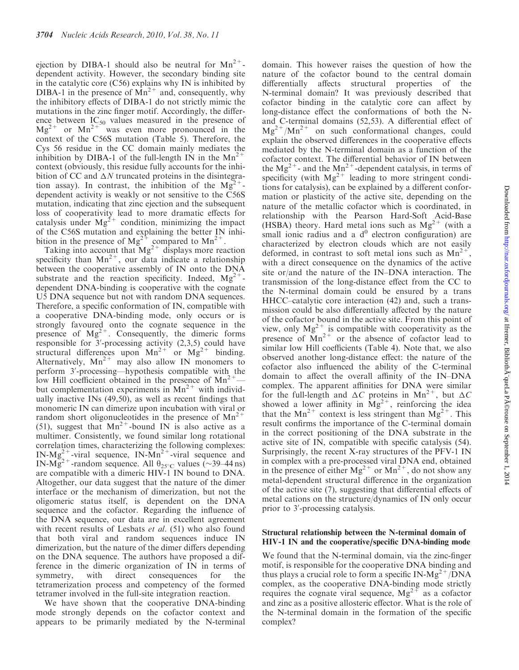ejection by DIBA-1 should also be neutral for  $Mn^{2+}$ dependent activity. However, the secondary binding site in the catalytic core (C56) explains why IN is inhibited by DIBA-1 in the presence of  $\text{Mn}^{2+}$  and, consequently, why the inhibitory effects of DIBA-1 do not strictly mimic the mutations in the zinc finger motif. Accordingly, the difference between  $IC_{50}$  values measured in the presence of  $Mg^{2+}$  or  $Mn^{2+}$  was even more pronounced in the context of the C56S mutation (Table 5). Therefore, the Cys 56 residue in the CC domain mainly mediates the inhibition by DIBA-1 of the full-length IN in the  $Mn^{2+}$ context (obviously, this residue fully accounts for the inhibition of CC and  $\Delta N$  truncated proteins in the disintegration assay). In contrast, the inhibition of the  $Mg^{2+}$ dependent activity is weakly or not sensitive to the C56S mutation, indicating that zinc ejection and the subsequent loss of cooperativity lead to more dramatic effects for catalysis under  $Mg^{2+}$  condition, minimizing the impact of the C56S mutation and explaining the better IN inhibition in the presence of Mg<sup>2+</sup> compared to Mn<sup>2+</sup>.

Taking into account that  $Mg^{2+}$  displays more reaction specificity than  $Mn^{2+}$ , our data indicate a relationship between the cooperative assembly of IN onto the DNA substrate and the reaction specificity. Indeed,  $Mg^{2+}$ dependent DNA-binding is cooperative with the cognate U5 DNA sequence but not with random DNA sequences. Therefore, a specific conformation of IN, compatible with a cooperative DNA-binding mode, only occurs or is strongly favoured onto the cognate sequence in the presence of  $Mg^{2+}$ . Consequently, the dimeric forms responsible for  $3'$ -processing activity  $(2,3,5)$  could have structural differences upon  $Mn^{2+}$  or  $Mg^{2+}$  binding. Alternatively,  $Mn^{2+}$  may also allow IN monomers to perform 3'-processing—hypothesis compatible with the low Hill coefficient obtained in the presence of  $Mn^{2+}$  but complementation experiments in  $Mn^{2+}$  with individually inactive INs (49,50), as well as recent findings that monomeric IN can dimerize upon incubation with viral or random short oligonucleotides in the presence of  $Mn^{2+}$ (51), suggest that  $Mn^{2+}$ -bound IN is also active as a multimer. Consistently, we found similar long rotational correlation times, characterizing the following complexes:  $IN-Mg^{2+}$ -viral sequence,  $IN-Mn^{2+}$ -viral sequence and IN-Mg<sup>2+</sup>-random sequence. All  $\theta_{25}$ °C values (~39–44 ns) are compatible with a dimeric HIV-1 IN bound to DNA. Altogether, our data suggest that the nature of the dimer interface or the mechanism of dimerization, but not the oligomeric status itself, is dependent on the DNA sequence and the cofactor. Regarding the influence of the DNA sequence, our data are in excellent agreement with recent results of Lesbats *et al.* (51) who also found that both viral and random sequences induce IN dimerization, but the nature of the dimer differs depending on the DNA sequence. The authors have proposed a difference in the dimeric organization of IN in terms of symmetry, with direct consequences for the tetramerization process and competency of the formed tetramer involved in the full-site integration reaction.

We have shown that the cooperative DNA-binding mode strongly depends on the cofactor context and appears to be primarily mediated by the N-terminal

domain. This however raises the question of how the nature of the cofactor bound to the central domain differentially affects structural properties of the N-terminal domain? It was previously described that cofactor binding in the catalytic core can affect by long-distance effect the conformations of both the Nand C-terminal domains (52,53). A differential effect of  $Mg^{2+}/Mn^{2+}$  on such conformational changes, could explain the observed differences in the cooperative effects mediated by the N-terminal domain as a function of the cofactor context. The differential behavior of IN between the  $Mg^{2+}$ - and the  $Mn^{2+}$ -dependent catalysis, in terms of specificity (with  $Mg^{2+}$  leading to more stringent conditions for catalysis), can be explained by a different conformation or plasticity of the active site, depending on the nature of the metallic cofactor which is coordinated, in relationship with the Pearson Hard-Soft Acid-Base (HSBA) theory. Hard metal ions such as  $Mg^{2+}$  (with a small ionic radius and a  $d<sup>0</sup>$  electron configuration) are characterized by electron clouds which are not easily deformed, in contrast to soft metal ions such as  $Mn^{2+}$ , with a direct consequence on the dynamics of the active site or/and the nature of the IN–DNA interaction. The transmission of the long-distance effect from the CC to the N-terminal domain could be ensured by a trans HHCC–catalytic core interaction (42) and, such a transmission could be also differentially affected by the nature of the cofactor bound in the active site. From this point of view, only  $Mg^{2+}$  is compatible with cooperativity as the presence of  $Mn^{2+}$  or the absence of cofactor lead to similar low Hill coefficients (Table 4). Note that, we also observed another long-distance effect: the nature of the cofactor also influenced the ability of the C-terminal domain to affect the overall affinity of the IN–DNA complex. The apparent affinities for DNA were similar for the full-length and  $\Delta C$  proteins in Mn<sup>2+</sup>, but  $\Delta C$ showed a lower affinity in  $Mg^{2+}$ , reinforcing the idea that the Mn<sup>2+</sup> context is less stringent than  $Mg^{2+}$ . This result confirms the importance of the C-terminal domain in the correct positioning of the DNA substrate in the active site of IN, compatible with specific catalysis (54). Surprisingly, the recent X-ray structures of the PFV-1 IN in complex with a pre-processed viral DNA end, obtained in the presence of either  $Mg^{2+}$  or  $Mn^{2+}$ , do not show any metal-dependent structural difference in the organization of the active site (7), suggesting that differential effects of metal cations on the structure/dynamics of IN only occur prior to 3'-processing catalysis.

## Structural relationship between the N-terminal domain of HIV-1 IN and the cooperative/specific DNA-binding mode

We found that the N-terminal domain, via the zinc-finger motif, is responsible for the cooperative DNA binding and thus plays a crucial role to form a specific IN-Mg<sup>2+</sup>/DNA complex, as the cooperative DNA-binding mode strictly requires the cognate viral sequence,  $Mg^{2+}$  as a cofactor and zinc as a positive allosteric effector. What is the role of the N-terminal domain in the formation of the specific complex?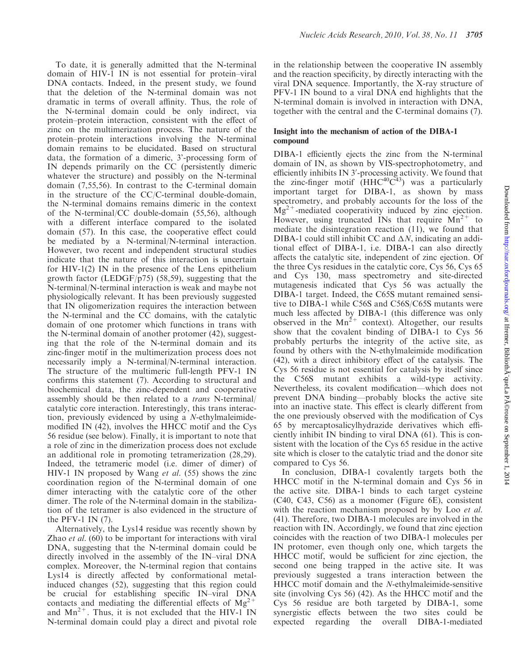To date, it is generally admitted that the N-terminal domain of HIV-1 IN is not essential for protein–viral DNA contacts. Indeed, in the present study, we found that the deletion of the N-terminal domain was not dramatic in terms of overall affinity. Thus, the role of the N-terminal domain could be only indirect, via protein–protein interaction, consistent with the effect of zinc on the multimerization process. The nature of the protein–protein interactions involving the N-terminal domain remains to be elucidated. Based on structural data, the formation of a dimeric, 3'-processing form of IN depends primarily on the CC (persistently dimeric whatever the structure) and possibly on the N-terminal domain (7,55,56). In contrast to the C-terminal domain in the structure of the CC/C-terminal double-domain, the N-terminal domains remains dimeric in the context of the N-terminal/CC double-domain (55,56), although with a different interface compared to the isolated domain (57). In this case, the cooperative effect could be mediated by a N-terminal/N-terminal interaction. However, two recent and independent structural studies indicate that the nature of this interaction is uncertain for HIV-1(2) IN in the presence of the Lens epithelium growth factor (LEDGF/p75) (58,59), suggesting that the N-terminal/N-terminal interaction is weak and maybe not physiologically relevant. It has been previously suggested that IN oligomerization requires the interaction between the N-terminal and the CC domains, with the catalytic domain of one protomer which functions in trans with the N-terminal domain of another protomer (42), suggesting that the role of the N-terminal domain and its zinc-finger motif in the multimerization process does not necessarily imply a N-terminal/N-terminal interaction. The structure of the multimeric full-length PFV-1 IN confirms this statement (7). According to structural and biochemical data, the zinc-dependent and cooperative assembly should be then related to a trans N-terminal/ catalytic core interaction. Interestingly, this trans interaction, previously evidenced by using a N-ethylmaleimidemodified IN (42), involves the HHCC motif and the Cys 56 residue (see below). Finally, it is important to note that a role of zinc in the dimerization process does not exclude an additional role in promoting tetramerization (28,29). Indeed, the tetrameric model (i.e. dimer of dimer) of HIV-1 IN proposed by Wang et al. (55) shows the zinc coordination region of the N-terminal domain of one dimer interacting with the catalytic core of the other dimer. The role of the N-terminal domain in the stabilization of the tetramer is also evidenced in the structure of the PFV-1 IN  $(7)$ .

Alternatively, the Lys14 residue was recently shown by Zhao et al. (60) to be important for interactions with viral DNA, suggesting that the N-terminal domain could be directly involved in the assembly of the IN–viral DNA complex. Moreover, the N-terminal region that contains Lys14 is directly affected by conformational metalinduced changes (52), suggesting that this region could be crucial for establishing specific IN–viral DNA contacts and mediating the differential effects of  $Mg<sup>2</sup>$ and  $Mn^{2+}$ . Thus, it is not excluded that the HIV-1 IN N-terminal domain could play a direct and pivotal role in the relationship between the cooperative IN assembly and the reaction specificity, by directly interacting with the viral DNA sequence. Importantly, the X-ray structure of PFV-1 IN bound to a viral DNA end highlights that the N-terminal domain is involved in interaction with DNA, together with the central and the C-terminal domains (7).

## Insight into the mechanism of action of the DIBA-1 compound

DIBA-1 efficiently ejects the zinc from the N-terminal domain of IN, as shown by VIS-spectrophotometry, and efficiently inhibits IN 3'-processing activity. We found that the zinc-finger motif  $(HHC^{40}C^{43})$  was a particularly important target for DIBA-1, as shown by mass spectrometry, and probably accounts for the loss of the  $Mg^{2+}$ -mediated cooperativity induced by zinc ejection. However, using truncated INs that require  $Mn^{2+}$  to mediate the disintegration reaction (11), we found that DIBA-1 could still inhibit CC and  $\Delta N$ , indicating an additional effect of DIBA-1, i.e. DIBA-1 can also directly affects the catalytic site, independent of zinc ejection. Of the three Cys residues in the catalytic core, Cys 56, Cys 65 and Cys 130, mass spectrometry and site-directed mutagenesis indicated that Cys 56 was actually the DIBA-1 target. Indeed, the C65S mutant remained sensitive to DIBA-1 while C56S and C56S/C65S mutants were much less affected by DIBA-1 (this difference was only observed in the  $Mn^{2+}$  context). Altogether, our results show that the covalent binding of DIBA-1 to Cys 56 probably perturbs the integrity of the active site, as found by others with the N-ethylmaleimide modification (42), with a direct inhibitory effect of the catalysis. The Cys 56 residue is not essential for catalysis by itself since the C56S mutant exhibits a wild-type activity. Nevertheless, its covalent modification—which does not prevent DNA binding—probably blocks the active site into an inactive state. This effect is clearly different from the one previously observed with the modification of Cys 65 by mercaptosalicylhydrazide derivatives which efficiently inhibit IN binding to viral DNA (61). This is consistent with the location of the Cys 65 residue in the active site which is closer to the catalytic triad and the donor site compared to Cys 56.

In conclusion, DIBA-1 covalently targets both the HHCC motif in the N-terminal domain and Cys 56 in the active site. DIBA-1 binds to each target cysteine (C40, C43, C56) as a monomer (Figure 6E), consistent with the reaction mechanism proposed by by Loo et al. (41). Therefore, two DIBA-1 molecules are involved in the reaction with IN. Accordingly, we found that zinc ejection coincides with the reaction of two DIBA-1 molecules per IN protomer, even though only one, which targets the HHCC motif, would be sufficient for zinc ejection, the second one being trapped in the active site. It was previously suggested a trans interaction between the HHCC motif domain and the N-ethylmaleimide-sensitive site (involving Cys 56) (42). As the HHCC motif and the Cys 56 residue are both targeted by DIBA-1, some synergistic effects between the two sites could be expected regarding the overall DIBA-1-mediated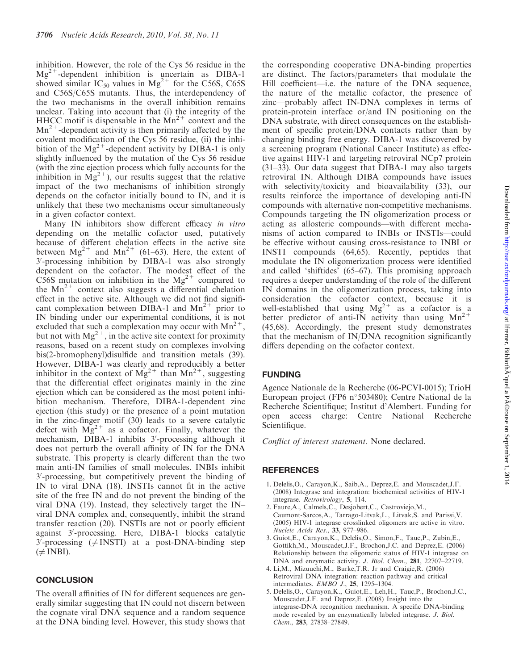Downloaded from http://nar.oxfordjournals.org/ at Ifremer, Biblioth $\tilde{A}$  queLa P $\tilde{A}$ ©rouse on September 1, 2014 Downloaded from <http://nar.oxfordjournals.org/> at Ifremer, BibliothA queLa PA©rouse on September 1, 2014

inhibition. However, the role of the Cys 56 residue in the  $Mg^{2+}$ -dependent inhibition is uncertain as DIBA-1 showed similar IC<sub>50</sub> values in Mg<sup>2+</sup> for the C56S, C65S and C56S/C65S mutants. Thus, the interdependency of the two mechanisms in the overall inhibition remains unclear. Taking into account that (i) the integrity of the HHCC motif is dispensable in the  $Mn^{2+}$  context and the  $Mn^{2+}$ -dependent activity is then primarily affected by the covalent modification of the Cys 56 residue, (ii) the inhibition of the  $Mg^{2+}$ -dependent activity by DIBA-1 is only slightly influenced by the mutation of the Cys 56 residue (with the zinc ejection process which fully accounts for the inhibition in  $Mg^{2+}$ ), our results suggest that the relative impact of the two mechanisms of inhibition strongly depends on the cofactor initially bound to IN, and it is unlikely that these two mechanisms occur simultaneously in a given cofactor context.

Many IN inhibitors show different efficacy in vitro depending on the metallic cofactor used, putatively because of different chelation effects in the active site between  $Mg^{2+}$  and  $Mn^{2+}$  (61–63). Here, the extent of 3'-processing inhibition by DIBA-1 was also strongly dependent on the cofactor. The modest effect of the C56S mutation on inhibition in the  $Mg^{2+}$  compared to the  $Mn^{2+}$  context also suggests a differential chelation effect in the active site. Although we did not find significant complexation between DIBA-1 and  $Mn^{2+}$  prior to IN binding under our experimental conditions, it is not excluded that such a complexation may occur with  $Mn^{2+}$ , but not with  $Mg^{2+}$ , in the active site context for proximity reasons, based on a recent study on complexes involving bis(2-bromophenyl)disulfide and transition metals (39). However, DIBA-1 was clearly and reproducibly a better inhibitor in the context of  $Mg^{2+}$  than  $Mn^{2+}$ , suggesting that the differential effect originates mainly in the zinc ejection which can be considered as the most potent inhibition mechanism. Therefore, DIBA-1-dependent zinc ejection (this study) or the presence of a point mutation in the zinc-finger motif (30) leads to a severe catalytic defect with  $Mg^{2+}$  as a cofactor. Finally, whatever the mechanism, DIBA-1 inhibits 3'-processing although it does not perturb the overall affinity of IN for the DNA substrate. This property is clearly different than the two main anti-IN families of small molecules. INBIs inhibit 3'-processing, but competitively prevent the binding of IN to viral DNA (18). INSTIs cannot fit in the active site of the free IN and do not prevent the binding of the viral DNA (19). Instead, they selectively target the IN– viral DNA complex and, consequently, inhibit the strand transfer reaction (20). INSTIs are not or poorly efficient against 3'-processing. Here, DIBA-1 blocks catalytic  $3'$ -processing ( $\neq$  INSTI) at a post-DNA-binding step  $(\neq$  INBI).

## **CONCLUSION**

The overall affinities of IN for different sequences are generally similar suggesting that IN could not discern between the cognate viral DNA sequence and a random sequence at the DNA binding level. However, this study shows that

the corresponding cooperative DNA-binding properties are distinct. The factors/parameters that modulate the Hill coefficient—i.e. the nature of the DNA sequence, the nature of the metallic cofactor, the presence of zinc—probably affect IN-DNA complexes in terms of protein-protein interface or/and IN positioning on the DNA substrate, with direct consequences on the establishment of specific protein/DNA contacts rather than by changing binding free energy. DIBA-1 was discovered by a screening program (National Cancer Institute) as effective against HIV-1 and targeting retroviral NCp7 protein (31–33). Our data suggest that DIBA-1 may also targets retroviral IN. Although DIBA compounds have issues with selectivity/toxicity and bioavailability (33), our results reinforce the importance of developing anti-IN compounds with alternative non-competitive mechanisms. Compounds targeting the IN oligomerization process or acting as allosteric compounds—with different mechanisms of action compared to INBIs or INSTIs—could be effective without causing cross-resistance to INBI or INSTI compounds (64,65). Recently, peptides that modulate the IN oligomerization process were identified and called 'shiftides' (65–67). This promising approach requires a deeper understanding of the role of the different IN domains in the oligomerization process, taking into consideration the cofactor context, because it is well-established that using  $Mg^{2+}$  as a cofactor is a better predictor of anti-IN activity than using  $Mn^{2+}$ (45,68). Accordingly, the present study demonstrates that the mechanism of IN/DNA recognition significantly differs depending on the cofactor context.

# FUNDING

Agence Nationale de la Recherche (06-PCVI-0015); TrioH European project (FP6 n°503480); Centre National de la Recherche Scientifique; Institut d'Alembert. Funding for open access charge: Centre National Recherche Scientifique.

Conflict of interest statement. None declared.

# REFERENCES

- 1. Delelis,O., Carayon,K., Saib,A., Deprez,E. and Mouscadet,J.F. (2008) Integrase and integration: biochemical activities of HIV-1 integrase. Retrovirology, 5, 114.
- 2. Faure,A., Calmels,C., Desjobert,C., Castroviejo,M., Caumont-Sarcos,A., Tarrago-Litvak,L., Litvak,S. and Parissi,V. (2005) HIV-1 integrase crosslinked oligomers are active in vitro. Nucleic Acids Res., 33, 977–986.
- 3. Guiot,E., Carayon,K., Delelis,O., Simon,F., Tauc,P., Zubin,E., Gottikh,M., Mouscadet,J.F., Brochon,J.C. and Deprez,E. (2006) Relationship between the oligomeric status of HIV-1 integrase on DNA and enzymatic activity. J. Biol. Chem., 281, 22707–22719.
- 4. Li,M., Mizuuchi,M., Burke,T.R. Jr and Craigie,R. (2006) Retroviral DNA integration: reaction pathway and critical intermediates. EMBO J., 25, 1295–1304.
- 5. Delelis,O., Carayon,K., Guiot,E., Leh,H., Tauc,P., Brochon,J.C., Mouscadet,J.F. and Deprez,E. (2008) Insight into the integrase-DNA recognition mechanism. A specific DNA-binding mode revealed by an enzymatically labeled integrase. J. Biol. Chem., 283, 27838–27849.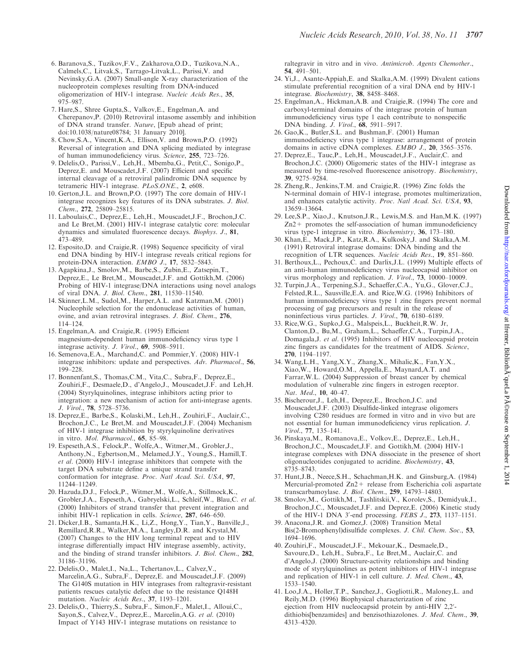- 6. Baranova,S., Tuzikov,F.V., Zakharova,O.D., Tuzikova,N.A., Calmels,C., Litvak,S., Tarrago-Litvak,L., Parissi,V. and Nevinsky,G.A. (2007) Small-angle X-ray characterization of the nucleoprotein complexes resulting from DNA-induced oligomerization of HIV-1 integrase. Nucleic Acids Res., 35, 975–987.
- 7. Hare,S., Shree Gupta,S., Valkov,E., Engelman,A. and Cherepanov,P. (2010) Retroviral intasome assembly and inhibition of DNA strand transfer. Nature, [Epub ahead of print; doi:10.1038/nature08784; 31 January 2010].
- 8. Chow,S.A., Vincent,K.A., Ellison,V. and Brown,P.O. (1992) Reversal of integration and DNA splicing mediated by integrase of human immunodeficiency virus. Science, 255, 723–726.
- 9. Delelis,O., Parissi,V., Leh,H., Mbemba,G., Petit,C., Sonigo,P., Deprez,E. and Mouscadet,J.F. (2007) Efficient and specific internal cleavage of a retroviral palindromic DNA sequence by tetrameric HIV-1 integrase. PLoS.ONE., 2, e608.
- 10. Gerton,J.L. and Brown,P.O. (1997) The core domain of HIV-1 integrase recognizes key features of its DNA substrates. J. Biol. Chem., 272, 25809–25815.
- 11. Laboulais,C., Deprez,E., Leh,H., Mouscadet,J.F., Brochon,J.C. and Le Bret,M. (2001) HIV-1 integrase catalytic core: molecular dynamics and simulated fluorescence decays. Biophys. J., 81, 473–489.
- 12. Esposito,D. and Craigie,R. (1998) Sequence specificity of viral end DNA binding by HIV-1 integrase reveals critical regions for protein-DNA interaction. EMBO J., 17, 5832-5843.
- 13. Agapkina,J., Smolov,M., Barbe,S., Zubin,E., Zatsepin,T., Deprez,E., Le Bret,M., Mouscadet,J.F. and Gottikh,M. (2006) Probing of HIV-1 integrase/DNA interactions using novel analogs of viral DNA. J. Biol. Chem., 281, 11530–11540.
- 14. Skinner,L.M., Sudol,M., Harper,A.L. and Katzman,M. (2001) Nucleophile selection for the endonuclease activities of human, ovine, and avian retroviral integrases. J. Biol. Chem., 276, 114–124.
- 15. Engelman,A. and Craigie,R. (1995) Efficient magnesium-dependent human immunodeficiency virus type 1 integrase activity. J. Virol., 69, 5908–5911.
- 16. Semenova,E.A., Marchand,C. and Pommier,Y. (2008) HIV-1 integrase inhibitors: update and perspectives. Adv. Pharmacol., 56, 199–228.
- 17. Bonnenfant,S., Thomas,C.M., Vita,C., Subra,F., Deprez,E., Zouhiri,F., Desmaele,D., d'Angelo,J., Mouscadet,J.F. and Leh,H. (2004) Styrylquinolines, integrase inhibitors acting prior to integration: a new mechanism of action for anti-integrase agents. J. Virol., 78, 5728–5736.
- 18. Deprez,E., Barbe,S., Kolaski,M., Leh,H., Zouhiri,F., Auclair,C., Brochon,J.C., Le Bret,M. and Mouscadet,J.F. (2004) Mechanism of HIV-1 integrase inhibition by styrylquinoline derivatives in vitro. Mol. Pharmacol., 65, 85–98.
- 19. Espeseth,A.S., Felock,P., Wolfe,A., Witmer,M., Grobler,J., Anthony,N., Egbertson,M., Melamed,J.Y., Young,S., Hamill,T. et al. (2000) HIV-1 integrase inhibitors that compete with the target DNA substrate define a unique strand transfer conformation for integrase. Proc. Natl Acad. Sci. USA, 97, 11244–11249.
- 20. Hazuda,D.J., Felock,P., Witmer,M., Wolfe,A., Stillmock,K., Grobler,J.A., Espeseth,A., Gabryelski,L., Schleif,W., Blau,C. et al. (2000) Inhibitors of strand transfer that prevent integration and inhibit HIV-1 replication in cells. Science, 287, 646–650.
- 21. Dicker,I.B., Samanta,H.K., Li,Z., Hong,Y., Tian,Y., Banville,J., Remillard,R.R., Walker,M.A., Langley,D.R. and Krystal,M. (2007) Changes to the HIV long terminal repeat and to HIV integrase differentially impact HIV integrase assembly, activity, and the binding of strand transfer inhibitors. J. Biol. Chem., 282, 31186–31196.
- 22. Delelis,O., Malet,I., Na,L., Tchertanov,L., Calvez,V., Marcelin,A.G., Subra,F., Deprez,E. and Mouscadet,J.F. (2009) The G140S mutation in HIV integrases from raltegravir-resistant patients rescues catalytic defect due to the resistance Q148H mutation. Nucleic Acids Res., 37, 1193–1201.
- 23. Delelis,O., Thierry,S., Subra,F., Simon,F., Malet,I., Alloui,C., Sayon,S., Calvez,V., Deprez,E., Marcelin,A.G. et al. (2010) Impact of Y143 HIV-1 integrase mutations on resistance to

raltegravir in vitro and in vivo. Antimicrob. Agents Chemother., 54, 491–501.

- 24. Yi,J., Asante-Appiah,E. and Skalka,A.M. (1999) Divalent cations stimulate preferential recognition of a viral DNA end by HIV-1 integrase. Biochemistry, 38, 8458–8468.
- 25. Engelman,A., Hickman,A.B. and Craigie,R. (1994) The core and carboxyl-terminal domains of the integrase protein of human immunodeficiency virus type 1 each contribute to nonspecific DNA binding. J. Virol., 68, 5911–5917.
- 26. Gao,K., Butler,S.L. and Bushman,F. (2001) Human immunodeficiency virus type 1 integrase: arrangement of protein domains in active cDNA complexes. EMBO J., 20, 3565–3576.
- 27. Deprez,E., Tauc,P., Leh,H., Mouscadet,J.F., Auclair,C. and Brochon,J.C. (2000) Oligomeric states of the HIV-1 integrase as measured by time-resolved fluorescence anisotropy. Biochemistry, 39, 9275–9284.
- 28. Zheng,R., Jenkins,T.M. and Craigie,R. (1996) Zinc folds the N-terminal domain of HIV-1 integrase, promotes multimerization, and enhances catalytic activity. Proc. Natl Acad. Sci. USA, 93, 13659–13664.
- 29. Lee,S.P., Xiao,J., Knutson,J.R., Lewis,M.S. and Han,M.K. (1997) Zn2+ promotes the self-association of human immunodeficiency virus type-1 integrase in vitro. Biochemistry, 36, 173–180.
- 30. Khan,E., Mack,J.P., Katz,R.A., Kulkosky,J. and Skalka,A.M. (1991) Retroviral integrase domains: DNA binding and the recognition of LTR sequences. Nucleic Acids Res., 19, 851–860.
- 31. Berthoux,L., Pechoux,C. and Darlix,J.L. (1999) Multiple effects of an anti-human immunodeficiency virus nucleocapsid inhibitor on virus morphology and replication. J. Virol., 73, 10000–10009.
- 32. Turpin,J.A., Terpening,S.J., Schaeffer,C.A., Yu,G., Glover,C.J., Felsted,R.L., Sausville,E.A. and Rice,W.G. (1996) Inhibitors of human immunodeficiency virus type 1 zinc fingers prevent normal processing of gag precursors and result in the release of noninfectious virus particles. J. Virol., 70, 6180–6189.
- 33. Rice,W.G., Supko,J.G., Malspeis,L., Buckheit,R.W. Jr, Clanton,D., Bu,M., Graham,L., Schaeffer,C.A., Turpin,J.A., Domagala,J. et al. (1995) Inhibitors of HIV nucleocapsid protein zinc fingers as candidates for the treatment of AIDS. Science, 270, 1194–1197.
- 34. Wang,L.H., Yang,X.Y., Zhang,X., Mihalic,K., Fan,Y.X., Xiao,W., Howard,O.M., Appella,E., Maynard,A.T. and Farrar,W.L. (2004) Suppression of breast cancer by chemical modulation of vulnerable zinc fingers in estrogen receptor. Nat. Med., 10, 40–47.
- 35. Bischerour,J., Leh,H., Deprez,E., Brochon,J.C. and Mouscadet,J.F. (2003) Disulfide-linked integrase oligomers involving C280 residues are formed in vitro and in vivo but are not essential for human immunodeficiency virus replication. J. Virol., 77, 135–141.
- 36. Pinskaya,M., Romanova,E., Volkov,E., Deprez,E., Leh,H., Brochon,J.C., Mouscadet,J.F. and Gottikh,M. (2004) HIV-1 integrase complexes with DNA dissociate in the presence of short oligonucleotides conjugated to acridine. Biochemistry, 43, 8735–8743.
- 37. Hunt,J.B., Neece,S.H., Schachman,H.K. and Ginsburg,A. (1984) Mercurial-promoted Zn2+ release from Escherichia coli aspartate transcarbamoylase. J. Biol. Chem., 259, 14793–14803.
- 38. Smolov,M., Gottikh,M., Tashlitskii,V., Korolev,S., Demidyuk,I., Brochon,J.C., Mouscadet,J.F. and Deprez,E. (2006) Kinetic study of the HIV-1 DNA  $3'$ -end processing. FEBS J., 273, 1137-1151.
- 39. Anacona,J.R. and Gomez,J. (2008) Transition Metal Bis(2-Bromophenyl)disulfide complexes. J. Chil. Chem. Soc., 53, 1694–1696.
- 40. Zouhiri,F., Mouscadet,J.F., Mekouar,K., Desmaele,D., Savoure,D., Leh,H., Subra,F., Le Bret,M., Auclair,C. and d'Angelo,J. (2000) Structure-activity relationships and binding mode of styrylquinolines as potent inhibitors of HIV-1 integrase and replication of HIV-1 in cell culture. J. Med. Chem., 43, 1533–1540.
- 41. Loo,J.A., Holler,T.P., Sanchez,J., Gogliotti,R., Maloney,L. and Reily,M.D. (1996) Biophysical characterization of zinc ejection from HIV nucleocapsid protein by anti-HIV 2,2'dithiobis[benzamides] and benzisothiazolones. J. Med. Chem., 39, 4313–4320.